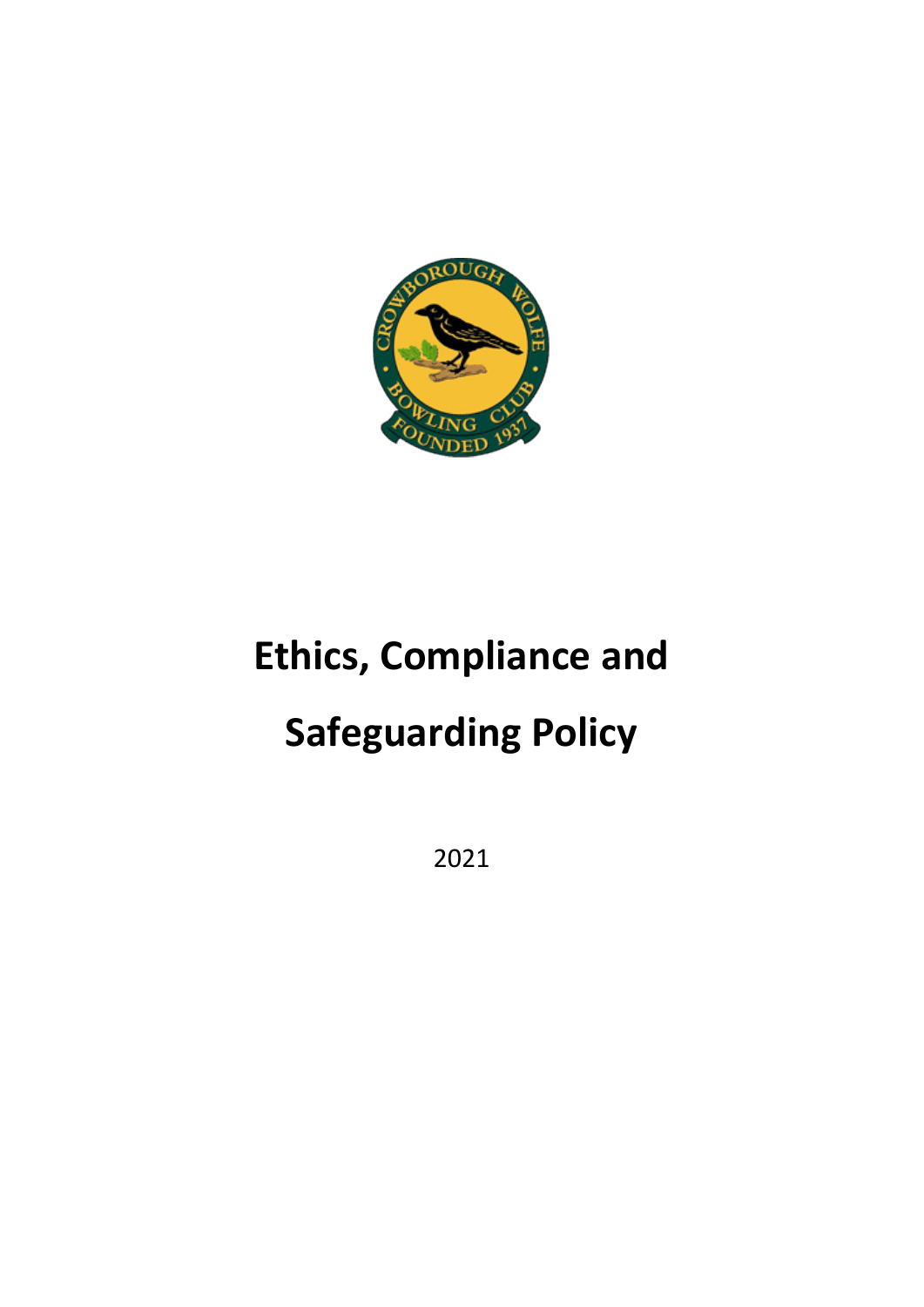

# **Ethics, Compliance and Safeguarding Policy**

2021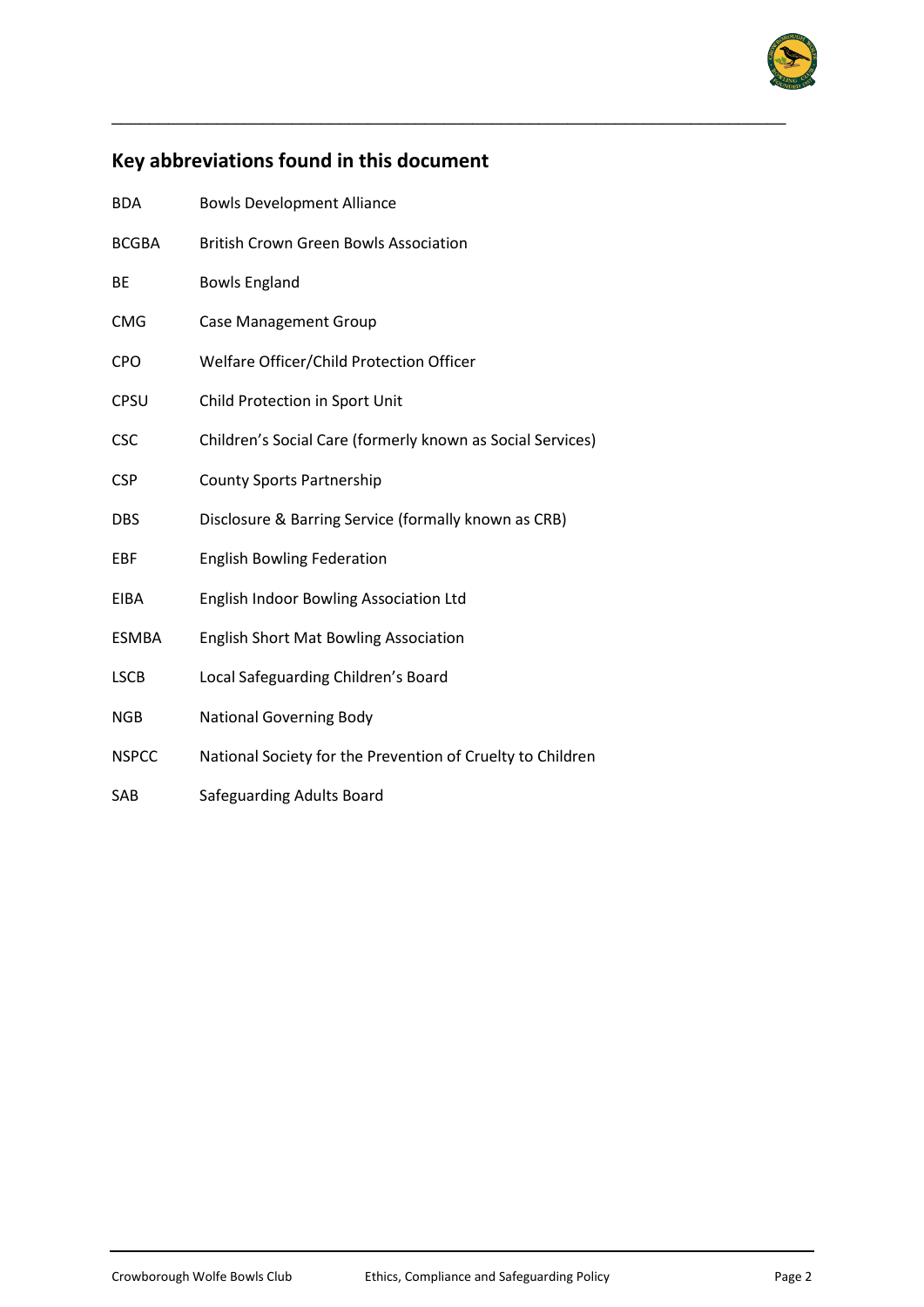

# **Key abbreviations found in this document**

\_\_\_\_\_\_\_\_\_\_\_\_\_\_\_\_\_\_\_\_\_\_\_\_\_\_\_\_\_\_\_\_\_\_\_\_\_\_\_\_\_\_\_\_\_\_\_\_\_\_\_\_\_\_\_\_\_\_\_\_\_\_\_\_\_\_\_\_\_\_\_

| <b>BDA</b>   | <b>Bowls Development Alliance</b>                          |
|--------------|------------------------------------------------------------|
| <b>BCGBA</b> | <b>British Crown Green Bowls Association</b>               |
| BE           | <b>Bowls England</b>                                       |
| <b>CMG</b>   | <b>Case Management Group</b>                               |
| <b>CPO</b>   | Welfare Officer/Child Protection Officer                   |
| CPSU         | Child Protection in Sport Unit                             |
| <b>CSC</b>   | Children's Social Care (formerly known as Social Services) |
| <b>CSP</b>   | <b>County Sports Partnership</b>                           |
| DBS          | Disclosure & Barring Service (formally known as CRB)       |
| EBF          | <b>English Bowling Federation</b>                          |
| <b>EIBA</b>  | <b>English Indoor Bowling Association Ltd</b>              |
| <b>ESMBA</b> | <b>English Short Mat Bowling Association</b>               |
| <b>LSCB</b>  | Local Safeguarding Children's Board                        |
| <b>NGB</b>   | <b>National Governing Body</b>                             |
| <b>NSPCC</b> | National Society for the Prevention of Cruelty to Children |
| SAB          | Safeguarding Adults Board                                  |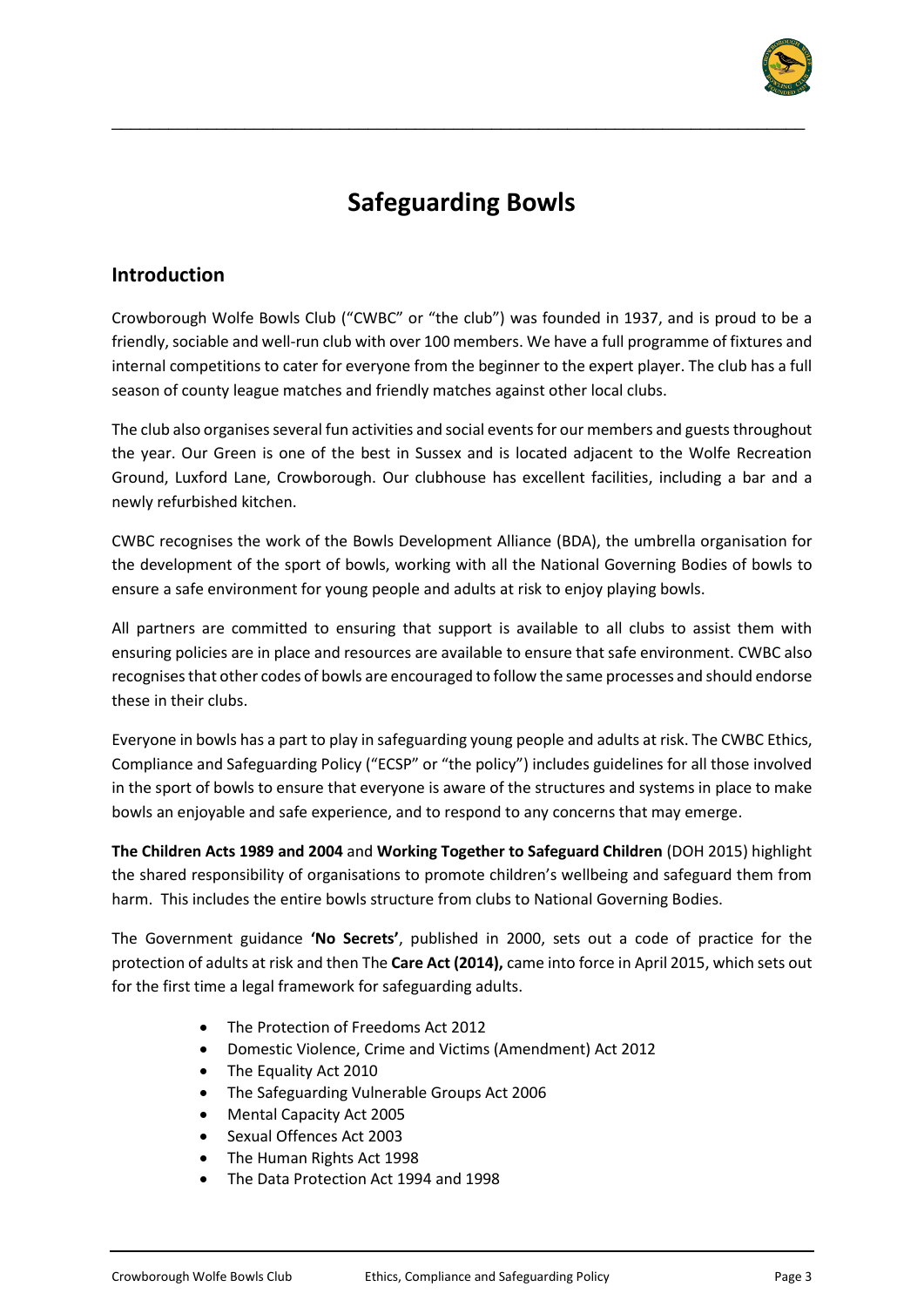

# **Safeguarding Bowls**

\_\_\_\_\_\_\_\_\_\_\_\_\_\_\_\_\_\_\_\_\_\_\_\_\_\_\_\_\_\_\_\_\_\_\_\_\_\_\_\_\_\_\_\_\_\_\_\_\_\_\_\_\_\_\_\_\_\_\_\_\_\_\_\_\_\_\_\_\_\_\_\_\_

## **Introduction**

Crowborough Wolfe Bowls Club ("CWBC" or "the club") was founded in 1937, and is proud to be a friendly, sociable and well-run club with over 100 members. We have a full programme of fixtures and internal competitions to cater for everyone from the beginner to the expert player. The club has a full season of county league matches and friendly matches against other local clubs.

The club also organises several fun activities and social events for our members and guests throughout the year. Our Green is one of the best in Sussex and is located adjacent to the Wolfe Recreation Ground, Luxford Lane, Crowborough. Our clubhouse has excellent facilities, including a bar and a newly refurbished kitchen.

CWBC recognises the work of the Bowls Development Alliance (BDA), the umbrella organisation for the development of the sport of bowls, working with all the National Governing Bodies of bowls to ensure a safe environment for young people and adults at risk to enjoy playing bowls.

All partners are committed to ensuring that support is available to all clubs to assist them with ensuring policies are in place and resources are available to ensure that safe environment. CWBC also recognises that other codes of bowls are encouraged to follow the same processes and should endorse these in their clubs.

Everyone in bowls has a part to play in safeguarding young people and adults at risk. The CWBC Ethics, Compliance and Safeguarding Policy ("ECSP" or "the policy") includes guidelines for all those involved in the sport of bowls to ensure that everyone is aware of the structures and systems in place to make bowls an enjoyable and safe experience, and to respond to any concerns that may emerge.

**The Children Acts 1989 and 2004** and **Working Together to Safeguard Children** (DOH 2015) highlight the shared responsibility of organisations to promote children's wellbeing and safeguard them from harm. This includes the entire bowls structure from clubs to National Governing Bodies.

The Government guidance **'No Secrets'**, published in 2000, sets out a code of practice for the protection of adults at risk and then The **Care Act (2014),** came into force in April 2015, which sets out for the first time a legal framework for safeguarding adults.

- The Protection of Freedoms Act 2012
- Domestic Violence, Crime and Victims (Amendment) Act 2012
- The Equality Act 2010
- The Safeguarding Vulnerable Groups Act 2006
- Mental Capacity Act 2005
- Sexual Offences Act 2003
- The Human Rights Act 1998
- The Data Protection Act 1994 and 1998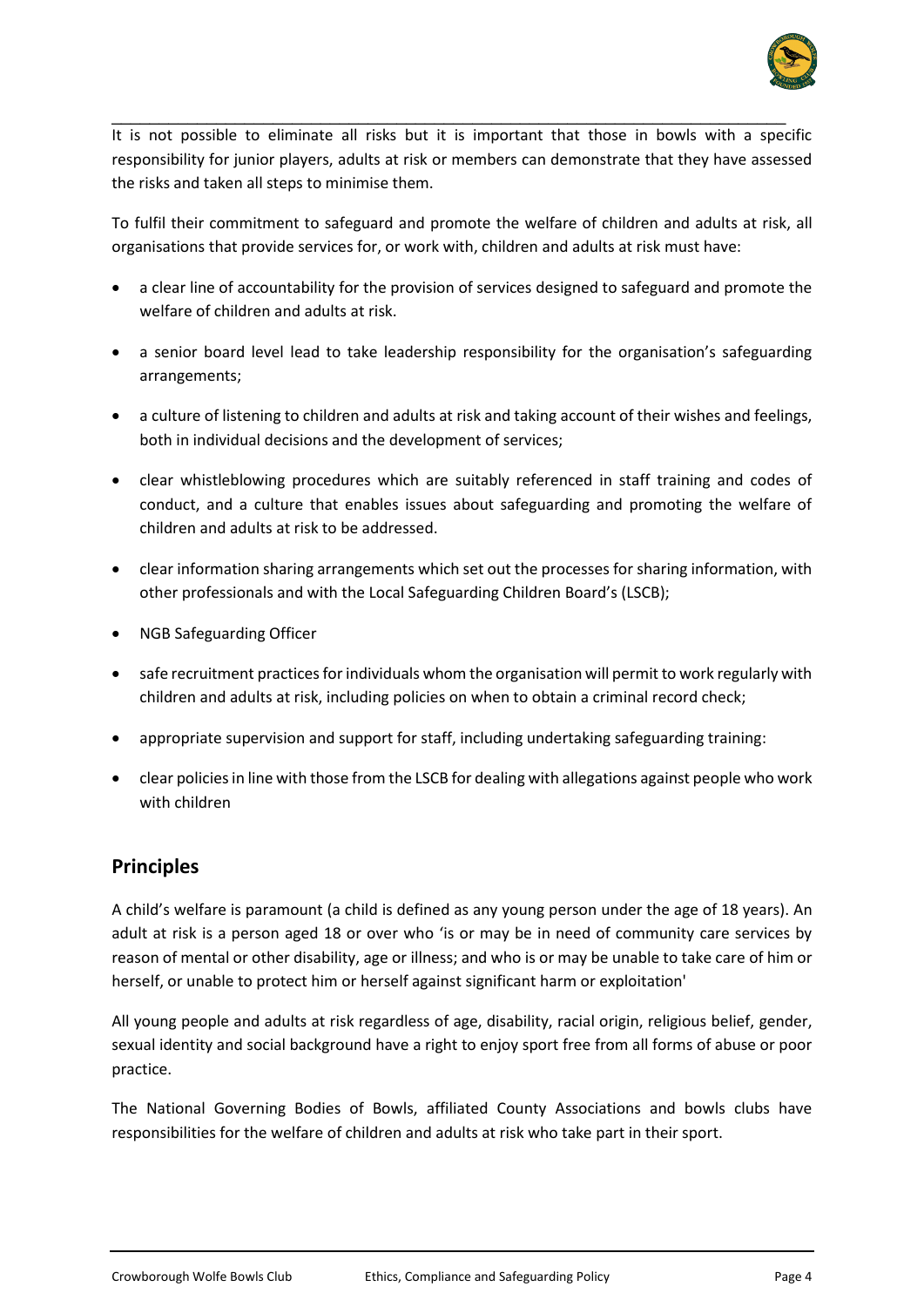

It is not possible to eliminate all risks but it is important that those in bowls with a specific responsibility for junior players, adults at risk or members can demonstrate that they have assessed the risks and taken all steps to minimise them.

\_\_\_\_\_\_\_\_\_\_\_\_\_\_\_\_\_\_\_\_\_\_\_\_\_\_\_\_\_\_\_\_\_\_\_\_\_\_\_\_\_\_\_\_\_\_\_\_\_\_\_\_\_\_\_\_\_\_\_\_\_\_\_\_\_\_\_\_\_\_\_

To fulfil their commitment to safeguard and promote the welfare of children and adults at risk, all organisations that provide services for, or work with, children and adults at risk must have:

- a clear line of accountability for the provision of services designed to safeguard and promote the welfare of children and adults at risk.
- a senior board level lead to take leadership responsibility for the organisation's safeguarding arrangements;
- a culture of listening to children and adults at risk and taking account of their wishes and feelings, both in individual decisions and the development of services;
- clear whistleblowing procedures which are suitably referenced in staff training and codes of conduct, and a culture that enables issues about safeguarding and promoting the welfare of children and adults at risk to be addressed.
- clear information sharing arrangements which set out the processes for sharing information, with other professionals and with the Local Safeguarding Children Board's (LSCB);
- NGB Safeguarding Officer
- safe recruitment practices for individuals whom the organisation will permit to work regularly with children and adults at risk, including policies on when to obtain a criminal record check;
- appropriate supervision and support for staff, including undertaking safeguarding training:
- clear policies in line with those from the LSCB for dealing with allegations against people who work with children

#### **Principles**

A child's welfare is paramount (a child is defined as any young person under the age of 18 years). An adult at risk is a person aged 18 or over who 'is or may be in need of community care services by reason of mental or other disability, age or illness; and who is or may be unable to take care of him or herself, or unable to protect him or herself against significant harm or exploitation'

All young people and adults at risk regardless of age, disability, racial origin, religious belief, gender, sexual identity and social background have a right to enjoy sport free from all forms of abuse or poor practice.

The National Governing Bodies of Bowls, affiliated County Associations and bowls clubs have responsibilities for the welfare of children and adults at risk who take part in their sport.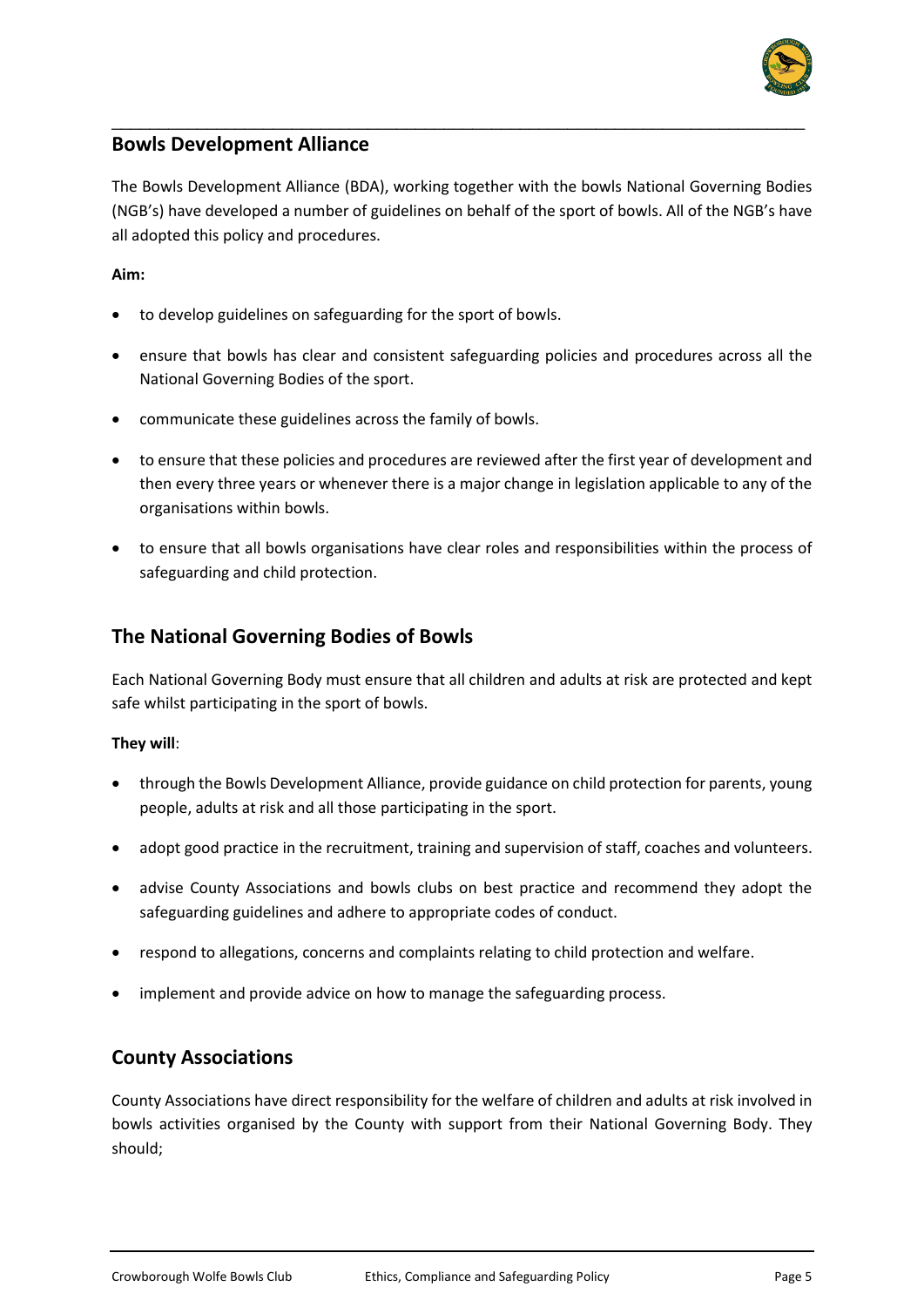

#### **Bowls Development Alliance**

The Bowls Development Alliance (BDA), working together with the bowls National Governing Bodies (NGB's) have developed a number of guidelines on behalf of the sport of bowls. All of the NGB's have all adopted this policy and procedures.

\_\_\_\_\_\_\_\_\_\_\_\_\_\_\_\_\_\_\_\_\_\_\_\_\_\_\_\_\_\_\_\_\_\_\_\_\_\_\_\_\_\_\_\_\_\_\_\_\_\_\_\_\_\_\_\_\_\_\_\_\_\_\_\_\_\_\_\_\_\_\_\_\_

#### **Aim:**

- to develop guidelines on safeguarding for the sport of bowls.
- ensure that bowls has clear and consistent safeguarding policies and procedures across all the National Governing Bodies of the sport.
- communicate these guidelines across the family of bowls.
- to ensure that these policies and procedures are reviewed after the first year of development and then every three years or whenever there is a major change in legislation applicable to any of the organisations within bowls.
- to ensure that all bowls organisations have clear roles and responsibilities within the process of safeguarding and child protection.

#### **The National Governing Bodies of Bowls**

Each National Governing Body must ensure that all children and adults at risk are protected and kept safe whilst participating in the sport of bowls.

#### **They will**:

- through the Bowls Development Alliance, provide guidance on child protection for parents, young people, adults at risk and all those participating in the sport.
- adopt good practice in the recruitment, training and supervision of staff, coaches and volunteers.
- advise County Associations and bowls clubs on best practice and recommend they adopt the safeguarding guidelines and adhere to appropriate codes of conduct.
- respond to allegations, concerns and complaints relating to child protection and welfare.
- implement and provide advice on how to manage the safeguarding process.

#### **County Associations**

County Associations have direct responsibility for the welfare of children and adults at risk involved in bowls activities organised by the County with support from their National Governing Body. They should;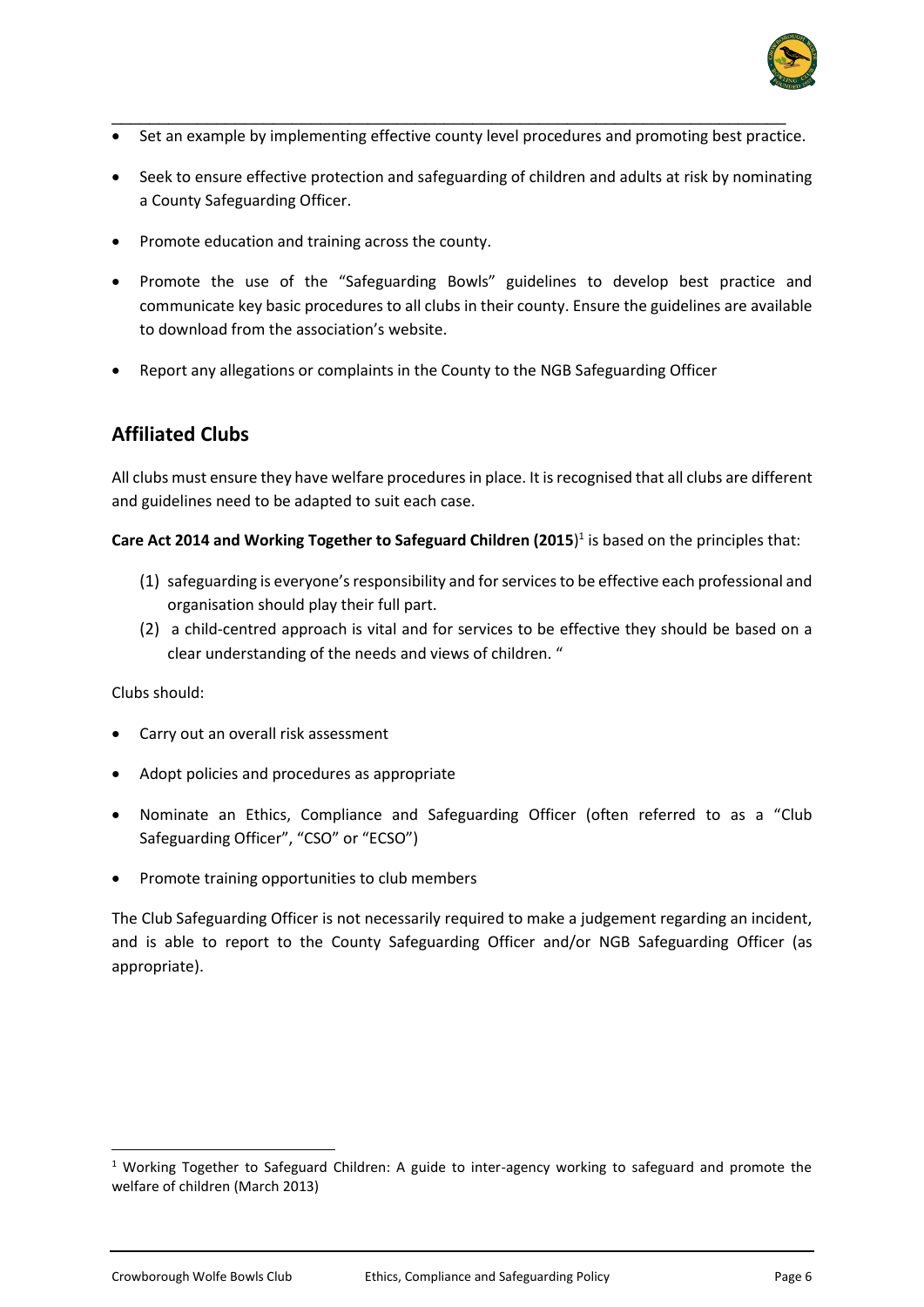

- \_\_\_\_\_\_\_\_\_\_\_\_\_\_\_\_\_\_\_\_\_\_\_\_\_\_\_\_\_\_\_\_\_\_\_\_\_\_\_\_\_\_\_\_\_\_\_\_\_\_\_\_\_\_\_\_\_\_\_\_\_\_\_\_\_\_\_\_\_\_\_ • Set an example by implementing effective county level procedures and promoting best practice.
- Seek to ensure effective protection and safeguarding of children and adults at risk by nominating a County Safeguarding Officer.
- Promote education and training across the county.
- Promote the use of the "Safeguarding Bowls" guidelines to develop best practice and communicate key basic procedures to all clubs in their county. Ensure the guidelines are available to download from the association's website.
- Report any allegations or complaints in the County to the NGB Safeguarding Officer

# **Affiliated Clubs**

All clubs must ensure they have welfare procedures in place. It is recognised that all clubs are different and guidelines need to be adapted to suit each case.

#### **Care Act 2014 and Working Together to Safeguard Children (2015**) 1 is based on the principles that:

- (1) safeguarding is everyone's responsibility and for services to be effective each professional and organisation should play their full part.
- (2) a child-centred approach is vital and for services to be effective they should be based on a clear understanding of the needs and views of children. "

#### Clubs should:

- Carry out an overall risk assessment
- Adopt policies and procedures as appropriate
- Nominate an Ethics, Compliance and Safeguarding Officer (often referred to as a "Club Safeguarding Officer", "CSO" or "ECSO")
- Promote training opportunities to club members

The Club Safeguarding Officer is not necessarily required to make a judgement regarding an incident, and is able to report to the County Safeguarding Officer and/or NGB Safeguarding Officer (as appropriate).

<sup>&</sup>lt;sup>1</sup> Working Together to Safeguard Children: A guide to inter-agency working to safeguard and promote the welfare of children (March 2013)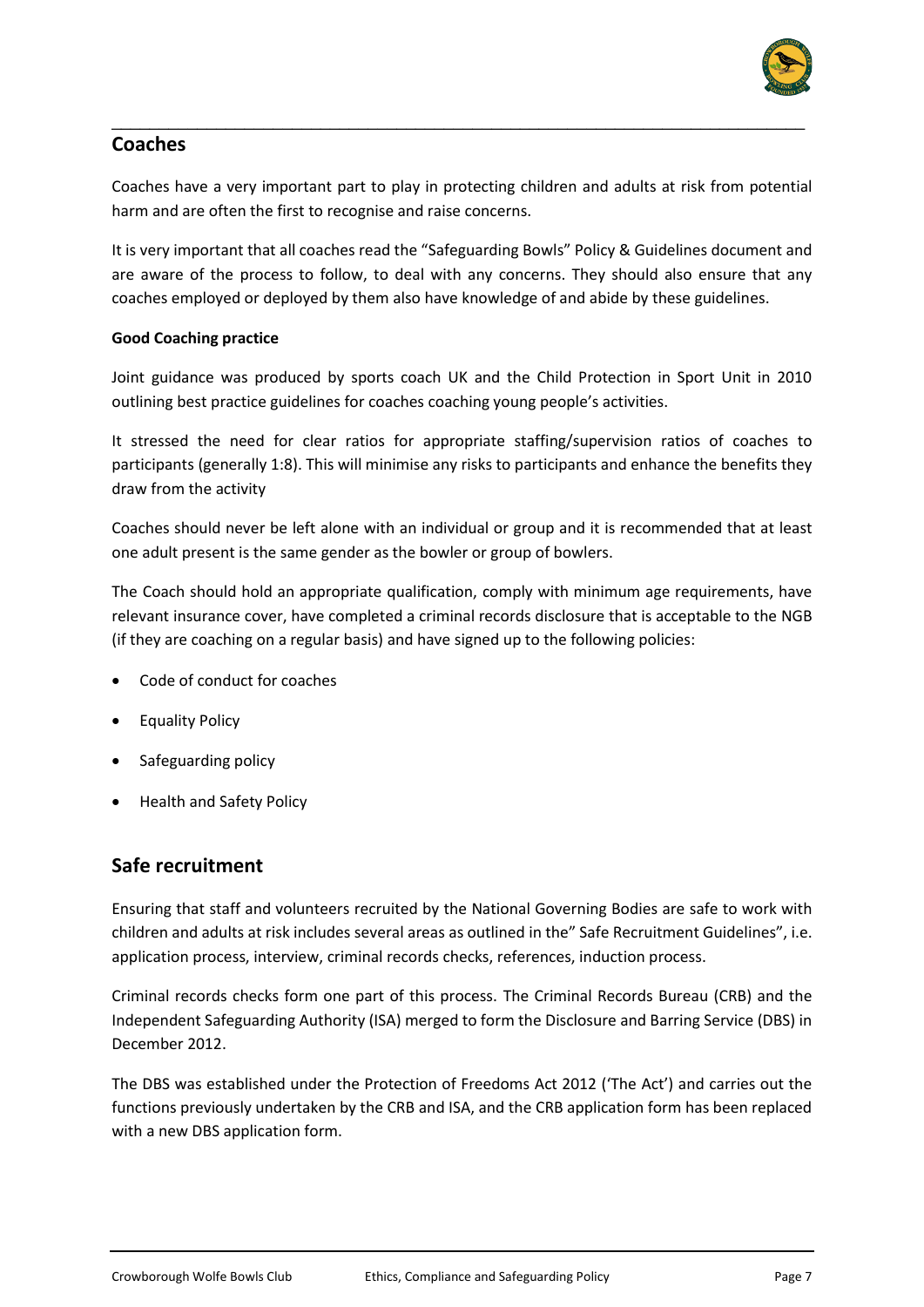

## **Coaches**

Coaches have a very important part to play in protecting children and adults at risk from potential harm and are often the first to recognise and raise concerns.

\_\_\_\_\_\_\_\_\_\_\_\_\_\_\_\_\_\_\_\_\_\_\_\_\_\_\_\_\_\_\_\_\_\_\_\_\_\_\_\_\_\_\_\_\_\_\_\_\_\_\_\_\_\_\_\_\_\_\_\_\_\_\_\_\_\_\_\_\_\_\_\_\_

It is very important that all coaches read the "Safeguarding Bowls" Policy & Guidelines document and are aware of the process to follow, to deal with any concerns. They should also ensure that any coaches employed or deployed by them also have knowledge of and abide by these guidelines.

#### **Good Coaching practice**

Joint guidance was produced by sports coach UK and the Child Protection in Sport Unit in 2010 outlining best practice guidelines for coaches coaching young people's activities.

It stressed the need for clear ratios for appropriate staffing/supervision ratios of coaches to participants (generally 1:8). This will minimise any risks to participants and enhance the benefits they draw from the activity

Coaches should never be left alone with an individual or group and it is recommended that at least one adult present is the same gender as the bowler or group of bowlers.

The Coach should hold an appropriate qualification, comply with minimum age requirements, have relevant insurance cover, have completed a criminal records disclosure that is acceptable to the NGB (if they are coaching on a regular basis) and have signed up to the following policies:

- Code of conduct for coaches
- Equality Policy
- Safeguarding policy
- Health and Safety Policy

#### **Safe recruitment**

Ensuring that staff and volunteers recruited by the National Governing Bodies are safe to work with children and adults at risk includes several areas as outlined in the" Safe Recruitment Guidelines", i.e. application process, interview, criminal records checks, references, induction process.

Criminal records checks form one part of this process. The Criminal Records Bureau (CRB) and the Independent Safeguarding Authority (ISA) merged to form the Disclosure and Barring Service (DBS) in December 2012.

The DBS was established under the Protection of Freedoms Act 2012 ('The Act') and carries out the functions previously undertaken by the CRB and ISA, and the CRB application form has been replaced with a new DBS application form.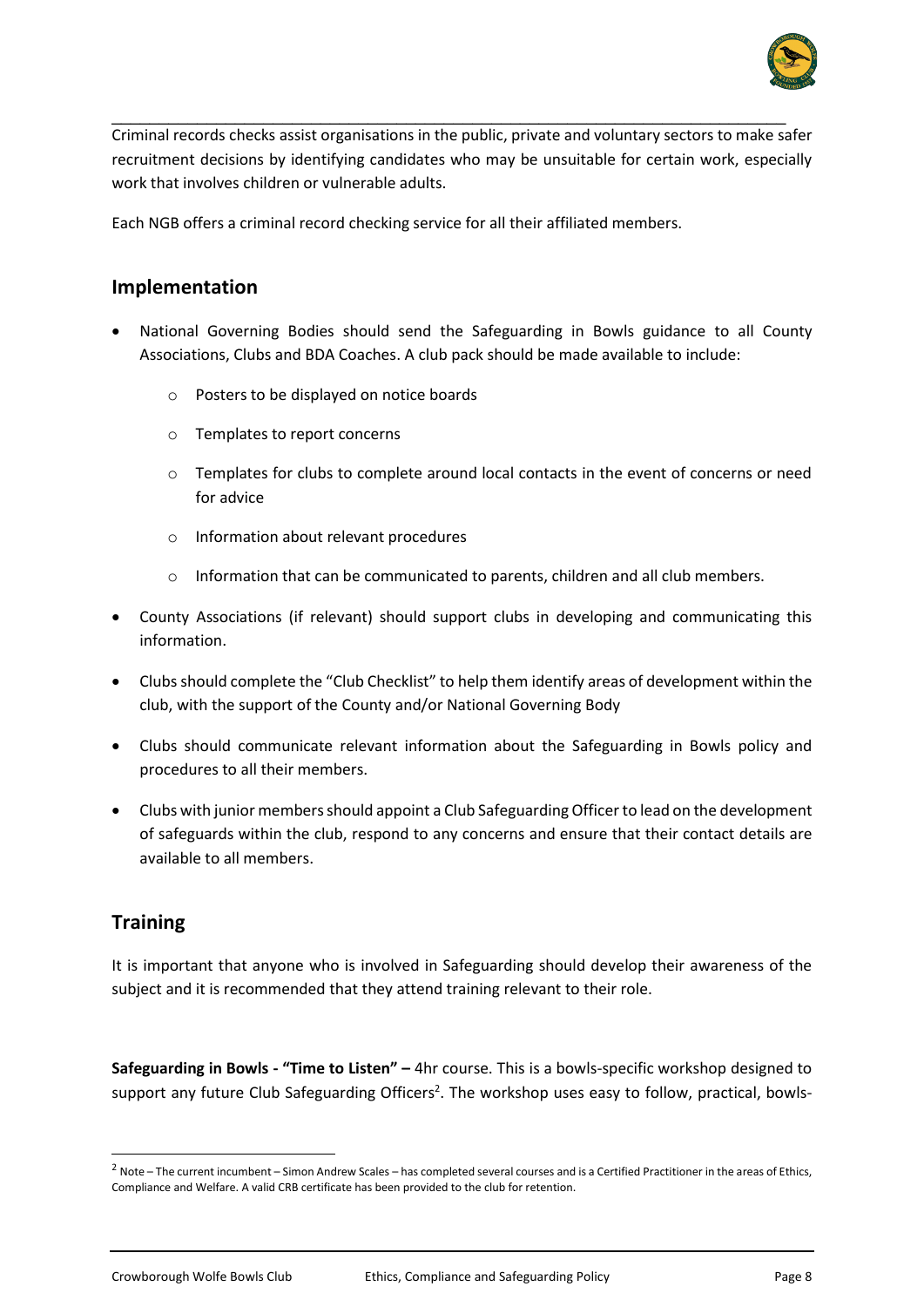

Criminal records checks assist organisations in the public, private and voluntary sectors to make safer recruitment decisions by identifying candidates who may be unsuitable for certain work, especially work that involves children or vulnerable adults.

\_\_\_\_\_\_\_\_\_\_\_\_\_\_\_\_\_\_\_\_\_\_\_\_\_\_\_\_\_\_\_\_\_\_\_\_\_\_\_\_\_\_\_\_\_\_\_\_\_\_\_\_\_\_\_\_\_\_\_\_\_\_\_\_\_\_\_\_\_\_\_

Each NGB offers a criminal record checking service for all their affiliated members.

#### **Implementation**

- National Governing Bodies should send the Safeguarding in Bowls guidance to all County Associations, Clubs and BDA Coaches. A club pack should be made available to include:
	- Posters to be displayed on notice boards
	- o Templates to report concerns
	- o Templates for clubs to complete around local contacts in the event of concerns or need for advice
	- o Information about relevant procedures
	- o Information that can be communicated to parents, children and all club members.
- County Associations (if relevant) should support clubs in developing and communicating this information.
- Clubs should complete the "Club Checklist" to help them identify areas of development within the club, with the support of the County and/or National Governing Body
- Clubs should communicate relevant information about the Safeguarding in Bowls policy and procedures to all their members.
- Clubs with junior members should appoint a Club Safeguarding Officer to lead on the development of safeguards within the club, respond to any concerns and ensure that their contact details are available to all members.

#### **Training**

It is important that anyone who is involved in Safeguarding should develop their awareness of the subject and it is recommended that they attend training relevant to their role.

**Safeguarding in Bowls - "Time to Listen" –** 4hr course. This is a bowls-specific workshop designed to support any future Club Safeguarding Officers<sup>2</sup>. The workshop uses easy to follow, practical, bowls-

<sup>&</sup>lt;sup>2</sup> Note – The current incumbent – Simon Andrew Scales – has completed several courses and is a Certified Practitioner in the areas of Ethics, Compliance and Welfare. A valid CRB certificate has been provided to the club for retention.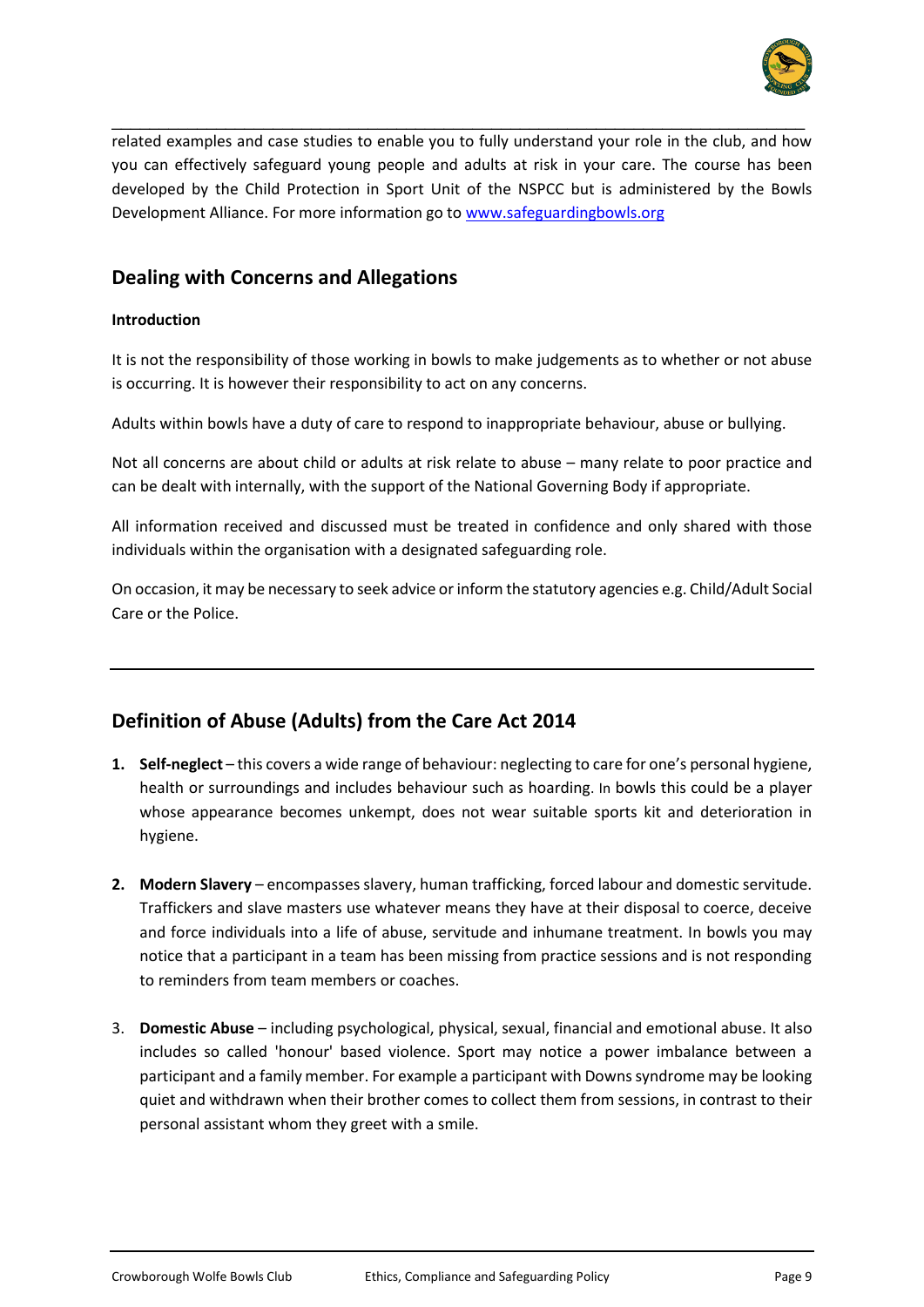

related examples and case studies to enable you to fully understand your role in the club, and how you can effectively safeguard young people and adults at risk in your care. The course has been developed by the Child Protection in Sport Unit of the NSPCC but is administered by the Bowls Development Alliance. For more information go to [www.safeguardingbowls.org](http://www.safeguardingbowls.org/)

\_\_\_\_\_\_\_\_\_\_\_\_\_\_\_\_\_\_\_\_\_\_\_\_\_\_\_\_\_\_\_\_\_\_\_\_\_\_\_\_\_\_\_\_\_\_\_\_\_\_\_\_\_\_\_\_\_\_\_\_\_\_\_\_\_\_\_\_\_\_\_\_\_

## **Dealing with Concerns and Allegations**

#### **Introduction**

It is not the responsibility of those working in bowls to make judgements as to whether or not abuse is occurring. It is however their responsibility to act on any concerns.

Adults within bowls have a duty of care to respond to inappropriate behaviour, abuse or bullying.

Not all concerns are about child or adults at risk relate to abuse – many relate to poor practice and can be dealt with internally, with the support of the National Governing Body if appropriate.

All information received and discussed must be treated in confidence and only shared with those individuals within the organisation with a designated safeguarding role.

On occasion, it may be necessary to seek advice or inform the statutory agencies e.g. Child/Adult Social Care or the Police.

# **Definition of Abuse (Adults) from the Care Act 2014**

- **1. Self-neglect** this covers a wide range of behaviour: neglecting to care for one's personal hygiene, health or surroundings and includes behaviour such as hoarding. In bowls this could be a player whose appearance becomes unkempt, does not wear suitable sports kit and deterioration in hygiene.
- **2. Modern Slavery** encompasses slavery, human trafficking, forced labour and domestic servitude. Traffickers and slave masters use whatever means they have at their disposal to coerce, deceive and force individuals into a life of abuse, servitude and inhumane treatment. In bowls you may notice that a participant in a team has been missing from practice sessions and is not responding to reminders from team members or coaches.
- 3. **Domestic Abuse**  including psychological, physical, sexual, financial and emotional abuse. It also includes so called 'honour' based violence. Sport may notice a power imbalance between a participant and a family member. For example a participant with Downs syndrome may be looking quiet and withdrawn when their brother comes to collect them from sessions, in contrast to their personal assistant whom they greet with a smile.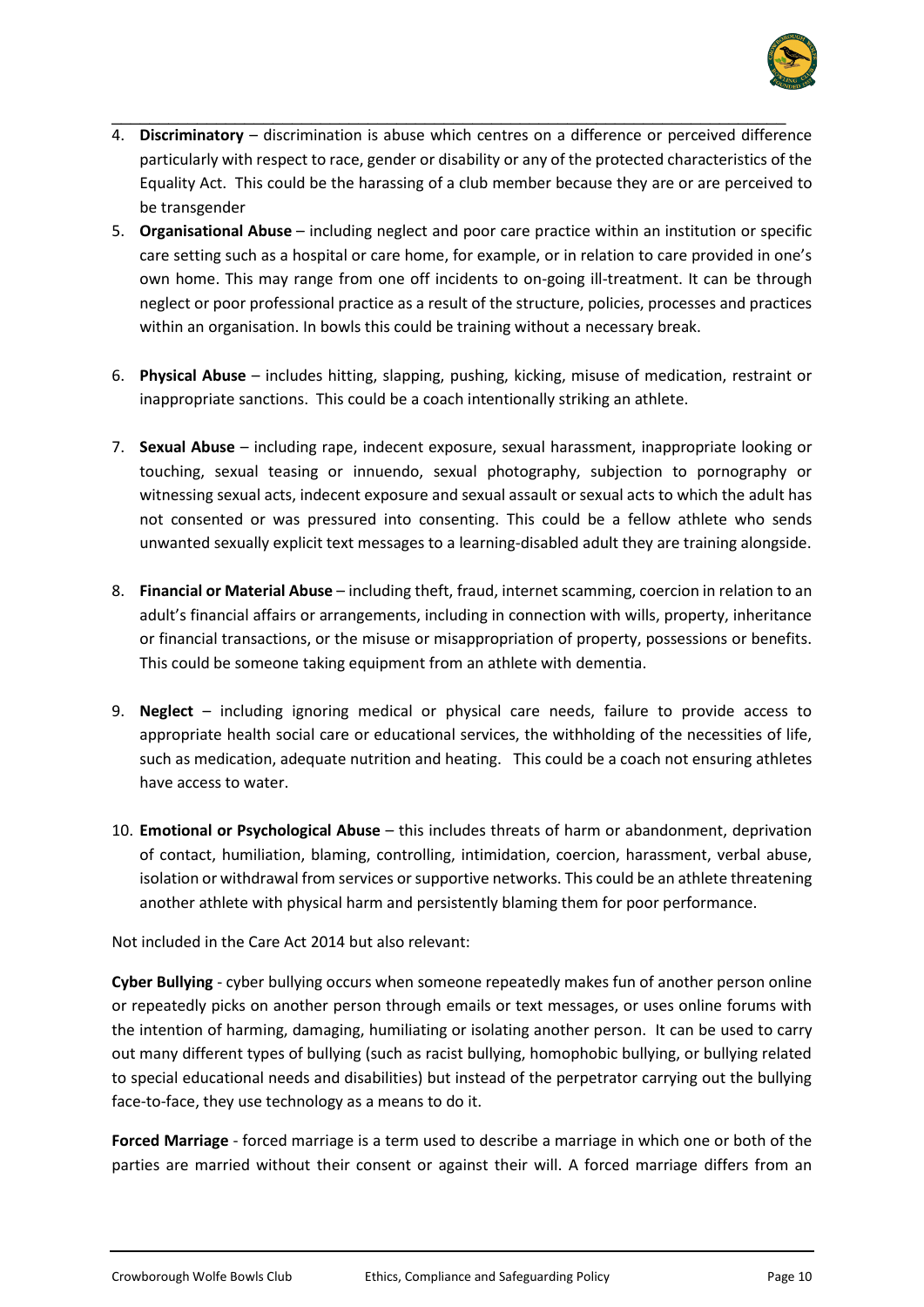

4. **Discriminatory** – discrimination is abuse which centres on a difference or perceived difference particularly with respect to race, gender or disability or any of the protected characteristics of the Equality Act. This could be the harassing of a club member because they are or are perceived to be transgender

\_\_\_\_\_\_\_\_\_\_\_\_\_\_\_\_\_\_\_\_\_\_\_\_\_\_\_\_\_\_\_\_\_\_\_\_\_\_\_\_\_\_\_\_\_\_\_\_\_\_\_\_\_\_\_\_\_\_\_\_\_\_\_\_\_\_\_\_\_\_\_

- 5. **Organisational Abuse** including neglect and poor care practice within an institution or specific care setting such as a hospital or care home, for example, or in relation to care provided in one's own home. This may range from one off incidents to on-going ill-treatment. It can be through neglect or poor professional practice as a result of the structure, policies, processes and practices within an organisation. In bowls this could be training without a necessary break.
- 6. **Physical Abuse**  includes hitting, slapping, pushing, kicking, misuse of medication, restraint or inappropriate sanctions. This could be a coach intentionally striking an athlete.
- 7. **Sexual Abuse**  including rape, indecent exposure, sexual harassment, inappropriate looking or touching, sexual teasing or innuendo, sexual photography, subjection to pornography or witnessing sexual acts, indecent exposure and sexual assault or sexual acts to which the adult has not consented or was pressured into consenting. This could be a fellow athlete who sends unwanted sexually explicit text messages to a learning-disabled adult they are training alongside.
- 8. **Financial or Material Abuse**  including theft, fraud, internet scamming, coercion in relation to an adult's financial affairs or arrangements, including in connection with wills, property, inheritance or financial transactions, or the misuse or misappropriation of property, possessions or benefits. This could be someone taking equipment from an athlete with dementia.
- 9. **Neglect**  including ignoring medical or physical care needs, failure to provide access to appropriate health social care or educational services, the withholding of the necessities of life, such as medication, adequate nutrition and heating. This could be a coach not ensuring athletes have access to water.
- 10. **Emotional or Psychological Abuse**  this includes threats of harm or abandonment, deprivation of contact, humiliation, blaming, controlling, intimidation, coercion, harassment, verbal abuse, isolation or withdrawal from services or supportive networks. This could be an athlete threatening another athlete with physical harm and persistently blaming them for poor performance.

Not included in the Care Act 2014 but also relevant:

**Cyber Bullying** - cyber bullying occurs when someone repeatedly makes fun of another person online or repeatedly picks on another person through emails or text messages, or uses online forums with the intention of harming, damaging, humiliating or isolating another person. It can be used to carry out many different types of bullying (such as racist bullying, homophobic bullying, or bullying related to special educational needs and disabilities) but instead of the perpetrator carrying out the bullying face-to-face, they use technology as a means to do it.

**Forced Marriage** - forced marriage is a term used to describe a marriage in which one or both of the parties are married without their consent or against their will. A forced marriage differs from an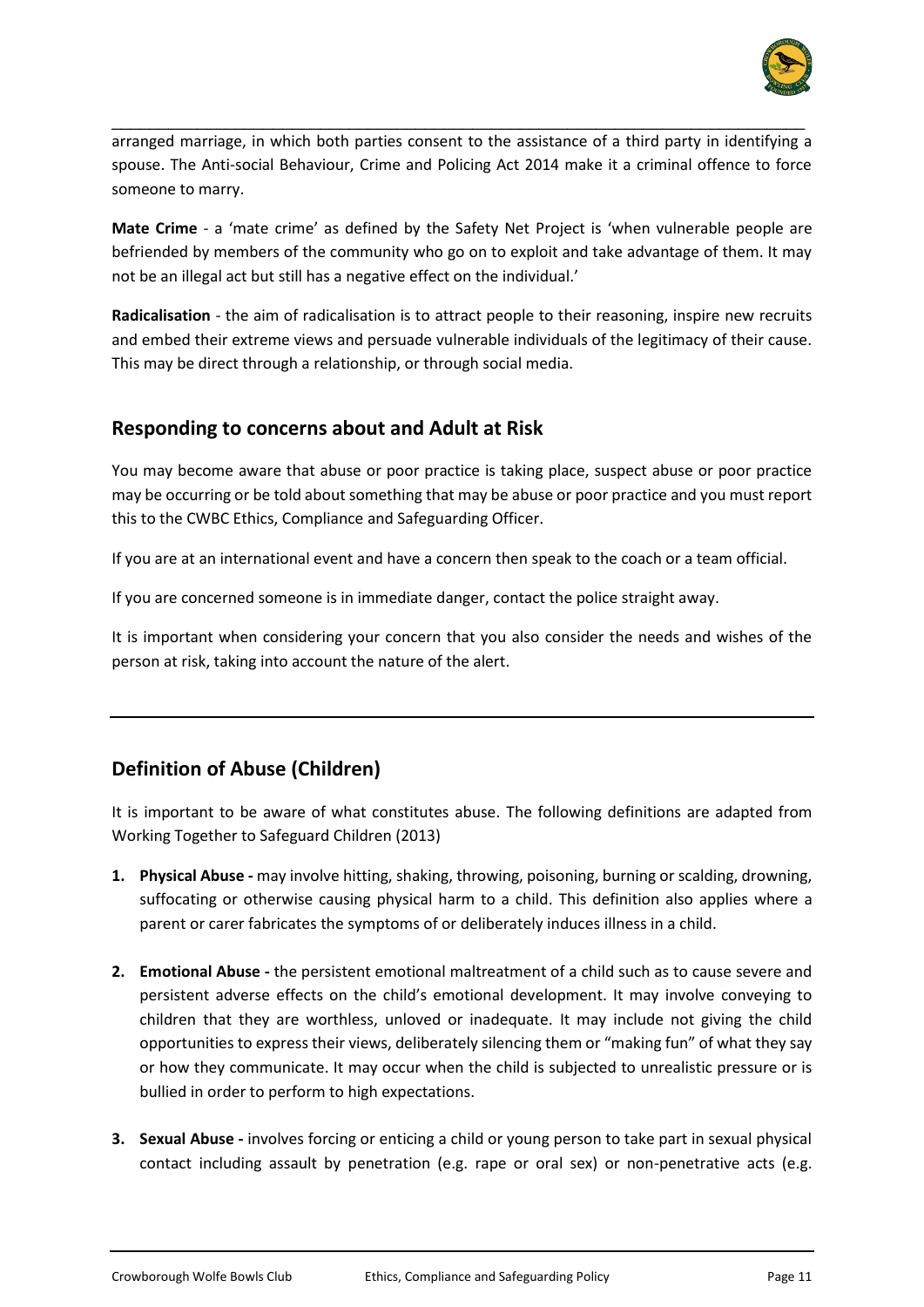

arranged marriage, in which both parties consent to the assistance of a third party in identifying a spouse. The Anti-social Behaviour, Crime and Policing Act 2014 make it a criminal offence to force someone to marry.

\_\_\_\_\_\_\_\_\_\_\_\_\_\_\_\_\_\_\_\_\_\_\_\_\_\_\_\_\_\_\_\_\_\_\_\_\_\_\_\_\_\_\_\_\_\_\_\_\_\_\_\_\_\_\_\_\_\_\_\_\_\_\_\_\_\_\_\_\_\_\_\_\_

**Mate Crime** - a 'mate crime' as defined by the Safety Net Project is 'when vulnerable people are befriended by members of the community who go on to exploit and take advantage of them. It may not be an illegal act but still has a negative effect on the individual.'

**Radicalisation** - the aim of radicalisation is to attract people to their reasoning, inspire new recruits and embed their extreme views and persuade vulnerable individuals of the legitimacy of their cause. This may be direct through a relationship, or through social media.

## **Responding to concerns about and Adult at Risk**

You may become aware that abuse or poor practice is taking place, suspect abuse or poor practice may be occurring or be told about something that may be abuse or poor practice and you must report this to the CWBC Ethics, Compliance and Safeguarding Officer.

If you are at an international event and have a concern then speak to the coach or a team official.

If you are concerned someone is in immediate danger, contact the police straight away.

It is important when considering your concern that you also consider the needs and wishes of the person at risk, taking into account the nature of the alert.

# **Definition of Abuse (Children)**

It is important to be aware of what constitutes abuse. The following definitions are adapted from Working Together to Safeguard Children (2013)

- **1. Physical Abuse -** may involve hitting, shaking, throwing, poisoning, burning or scalding, drowning, suffocating or otherwise causing physical harm to a child. This definition also applies where a parent or carer fabricates the symptoms of or deliberately induces illness in a child.
- **2. Emotional Abuse -** the persistent emotional maltreatment of a child such as to cause severe and persistent adverse effects on the child's emotional development. It may involve conveying to children that they are worthless, unloved or inadequate. It may include not giving the child opportunities to express their views, deliberately silencing them or "making fun" of what they say or how they communicate. It may occur when the child is subjected to unrealistic pressure or is bullied in order to perform to high expectations.
- **3. Sexual Abuse -** involves forcing or enticing a child or young person to take part in sexual physical contact including assault by penetration (e.g. rape or oral sex) or non-penetrative acts (e.g.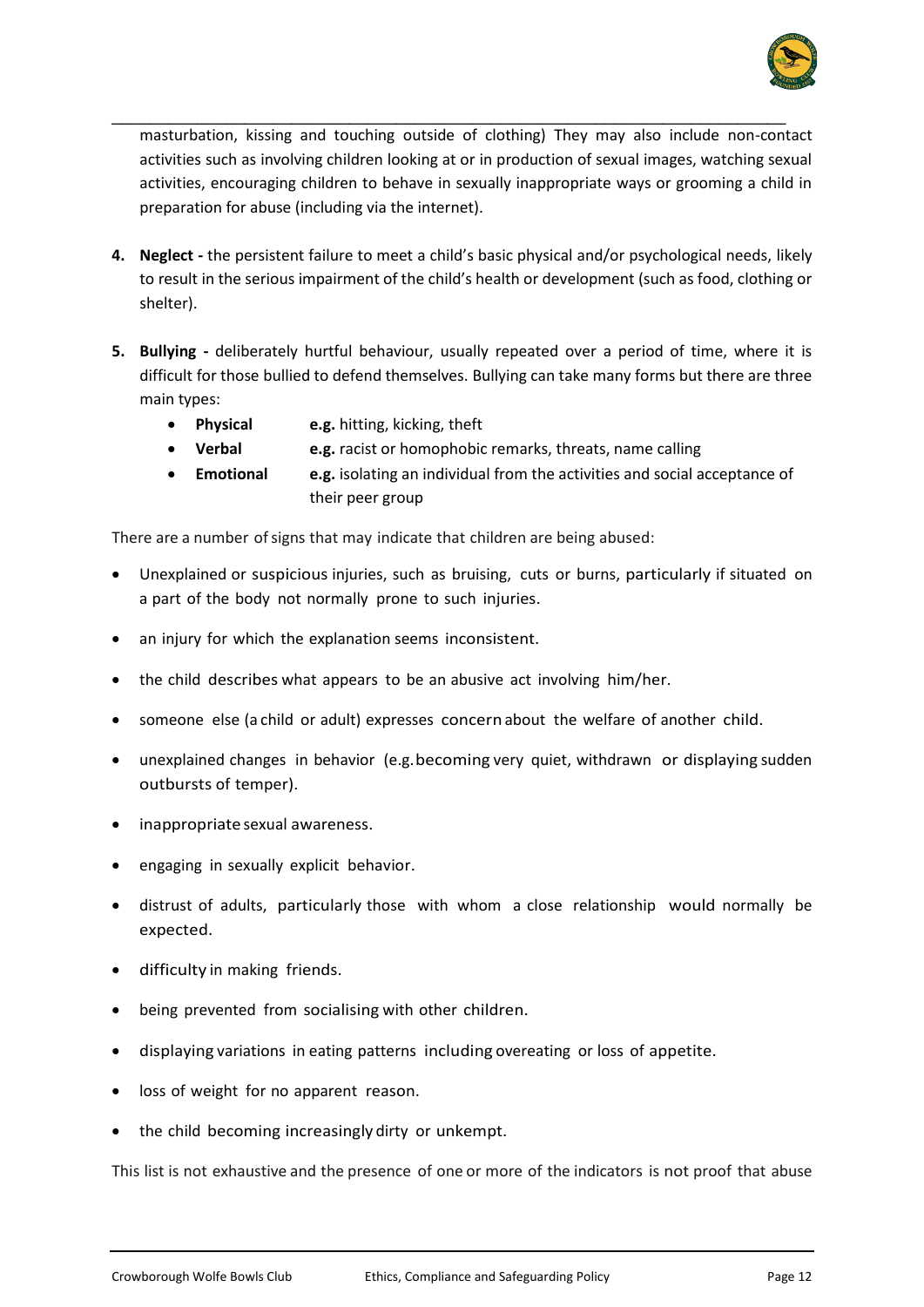

masturbation, kissing and touching outside of clothing) They may also include non-contact activities such as involving children looking at or in production of sexual images, watching sexual activities, encouraging children to behave in sexually inappropriate ways or grooming a child in preparation for abuse (including via the internet).

\_\_\_\_\_\_\_\_\_\_\_\_\_\_\_\_\_\_\_\_\_\_\_\_\_\_\_\_\_\_\_\_\_\_\_\_\_\_\_\_\_\_\_\_\_\_\_\_\_\_\_\_\_\_\_\_\_\_\_\_\_\_\_\_\_\_\_\_\_\_\_

- **4. Neglect -** the persistent failure to meet a child's basic physical and/or psychological needs, likely to result in the serious impairment of the child's health or development (such as food, clothing or shelter).
- **5. Bullying -** deliberately hurtful behaviour, usually repeated over a period of time, where it is difficult for those bullied to defend themselves. Bullying can take many forms but there are three main types:
	- **Physical e.g.** hitting, kicking, theft
	- **Verbal e.g.** racist or homophobic remarks, threats, name calling
		- **Emotional e.g.** isolating an individual from the activities and social acceptance of their peer group

There are a number ofsigns that may indicate that children are being abused:

- Unexplained or suspicious injuries, such as bruising, cuts or burns, particularly if situated on a part of the body not normally prone to such injuries.
- an injury for which the explanation seems inconsistent.
- the child describes what appears to be an abusive act involving him/her.
- someone else (a child or adult) expresses concernabout the welfare of another child.
- unexplained changes in behavior (e.g. becoming very quiet, withdrawn or displaying sudden outbursts of temper).
- inappropriate sexual awareness.
- engaging in sexually explicit behavior.
- distrust of adults, particularly those with whom a close relationship would normally be expected.
- difficulty in making friends.
- being prevented from socialising with other children.
- displaying variations in eating patterns including overeating or loss of appetite.
- loss of weight for no apparent reason.
- the child becoming increasingly dirty or unkempt.

This list is not exhaustive and the presence of one or more of the indicators is not proof that abuse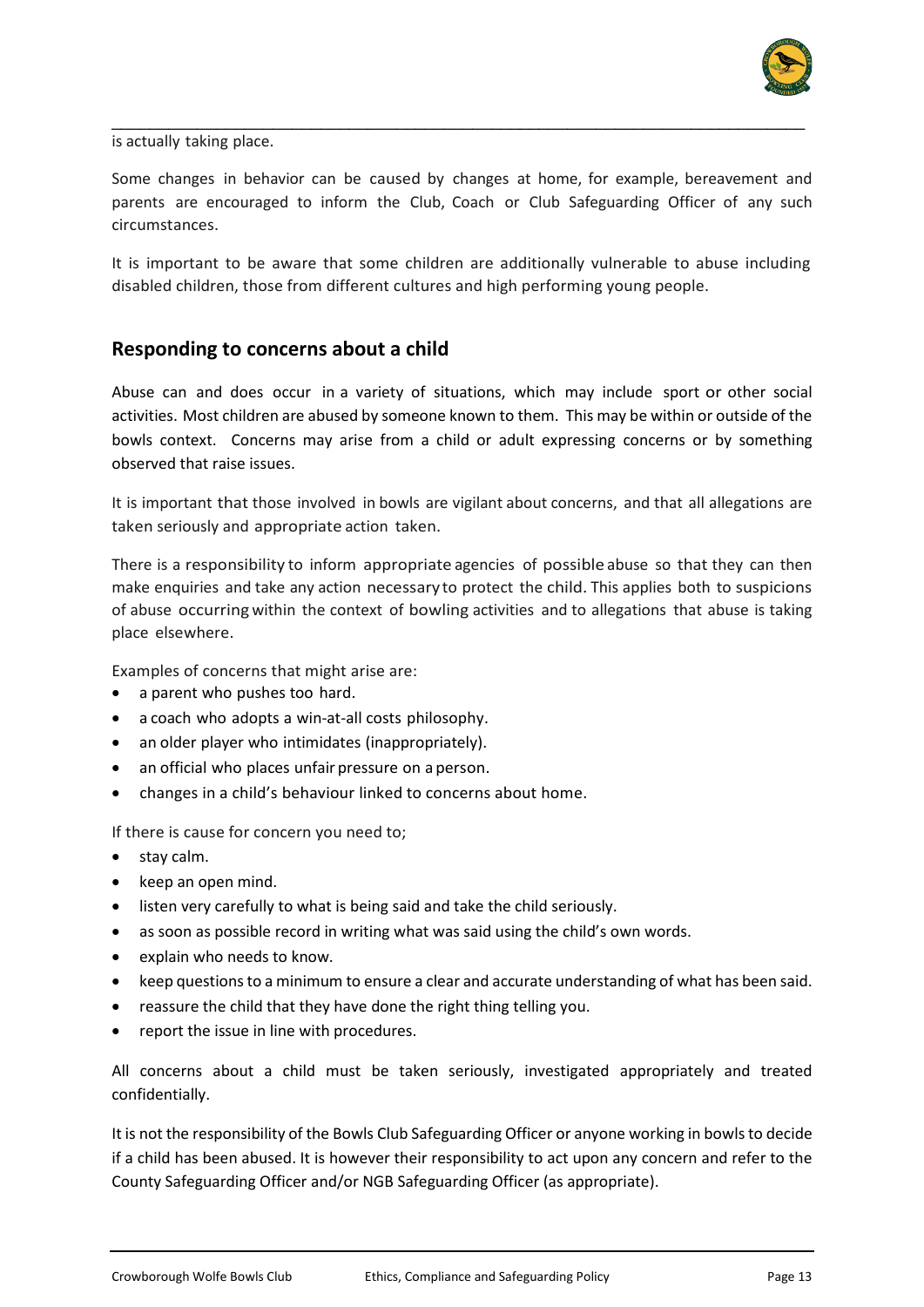

is actually taking place.

Some changes in behavior can be caused by changes at home, for example, bereavement and parents are encouraged to inform the Club, Coach or Club Safeguarding Officer of any such circumstances.

\_\_\_\_\_\_\_\_\_\_\_\_\_\_\_\_\_\_\_\_\_\_\_\_\_\_\_\_\_\_\_\_\_\_\_\_\_\_\_\_\_\_\_\_\_\_\_\_\_\_\_\_\_\_\_\_\_\_\_\_\_\_\_\_\_\_\_\_\_\_\_\_\_

It is important to be aware that some children are additionally vulnerable to abuse including disabled children, those from different cultures and high performing young people.

#### **Responding to concerns about a child**

Abuse can and does occur in a variety of situations, which may include sport or other social activities. Most children are abused by someone known to them. This may be within or outside of the bowls context. Concerns may arise from a child or adult expressing concerns or by something observed that raise issues.

It is important that those involved in bowls are vigilant about concerns, and that all allegations are taken seriously and appropriate action taken.

There is a responsibility to inform appropriate agencies of possible abuse so that they can then make enquiries and take any action necessary to protect the child. This applies both to suspicions of abuse occurring within the context of bowling activities and to allegations that abuse is taking place elsewhere.

Examples of concerns that might arise are:

- a parent who pushes too hard.
- a coach who adopts a win-at-all costs philosophy.
- an older player who intimidates (inappropriately).
- an official who places unfair pressure on a person.
- changes in a child's behaviour linked to concerns about home.

If there is cause for concern you need to;

- stay calm.
- keep an open mind.
- listen very carefully to what is being said and take the child seriously.
- as soon as possible record in writing what was said using the child's own words.
- explain who needs to know.
- keep questions to a minimum to ensure a clear and accurate understanding of what has been said.
- reassure the child that they have done the right thing telling you.
- report the issue in line with procedures.

All concerns about a child must be taken seriously, investigated appropriately and treated confidentially.

It is not the responsibility of the Bowls Club Safeguarding Officer or anyone working in bowls to decide if a child has been abused. It is however their responsibility to act upon any concern and refer to the County Safeguarding Officer and/or NGB Safeguarding Officer (as appropriate).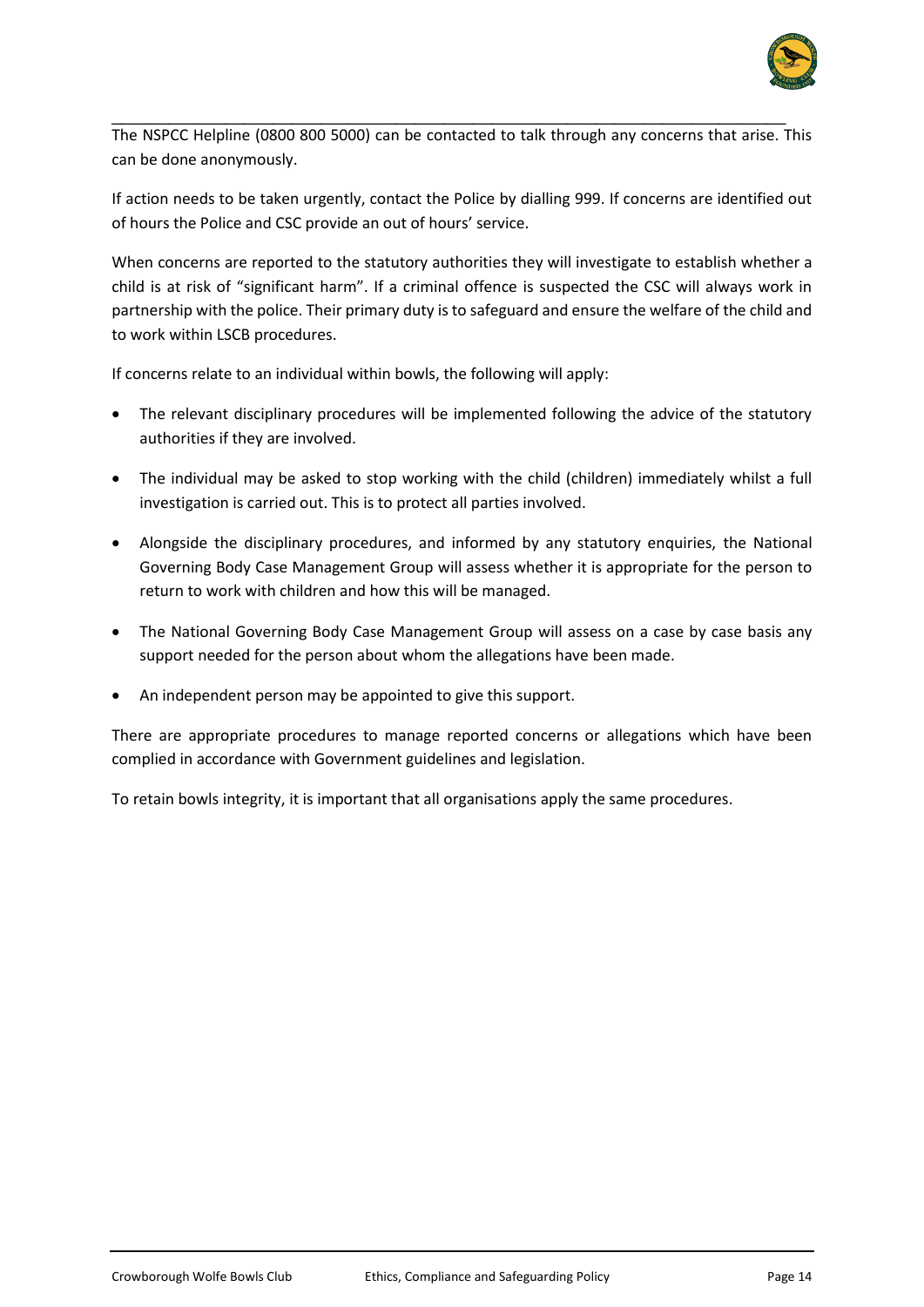

The NSPCC Helpline (0800 800 5000) can be contacted to talk through any concerns that arise. This can be done anonymously.

\_\_\_\_\_\_\_\_\_\_\_\_\_\_\_\_\_\_\_\_\_\_\_\_\_\_\_\_\_\_\_\_\_\_\_\_\_\_\_\_\_\_\_\_\_\_\_\_\_\_\_\_\_\_\_\_\_\_\_\_\_\_\_\_\_\_\_\_\_\_\_

If action needs to be taken urgently, contact the Police by dialling 999. If concerns are identified out of hours the Police and CSC provide an out of hours' service.

When concerns are reported to the statutory authorities they will investigate to establish whether a child is at risk of "significant harm". If a criminal offence is suspected the CSC will always work in partnership with the police. Their primary duty is to safeguard and ensure the welfare of the child and to work within LSCB procedures.

If concerns relate to an individual within bowls, the following will apply:

- The relevant disciplinary procedures will be implemented following the advice of the statutory authorities if they are involved.
- The individual may be asked to stop working with the child (children) immediately whilst a full investigation is carried out. This is to protect all parties involved.
- Alongside the disciplinary procedures, and informed by any statutory enquiries, the National Governing Body Case Management Group will assess whether it is appropriate for the person to return to work with children and how this will be managed.
- The National Governing Body Case Management Group will assess on a case by case basis any support needed for the person about whom the allegations have been made.
- An independent person may be appointed to give this support.

There are appropriate procedures to manage reported concerns or allegations which have been complied in accordance with Government guidelines and legislation.

To retain bowls integrity, it is important that all organisations apply the same procedures.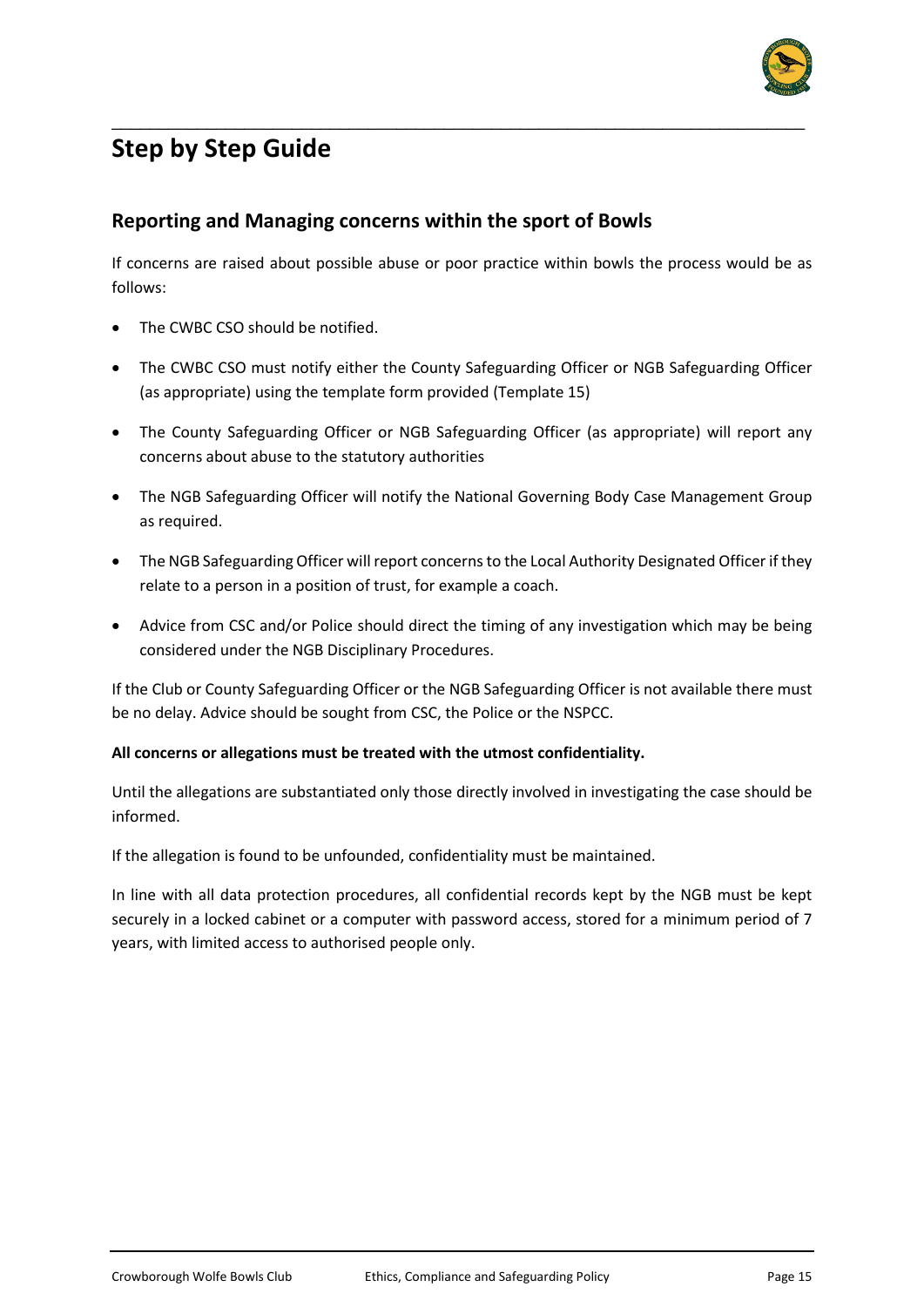

# **Step by Step Guide**

#### **Reporting and Managing concerns within the sport of Bowls**

If concerns are raised about possible abuse or poor practice within bowls the process would be as follows:

\_\_\_\_\_\_\_\_\_\_\_\_\_\_\_\_\_\_\_\_\_\_\_\_\_\_\_\_\_\_\_\_\_\_\_\_\_\_\_\_\_\_\_\_\_\_\_\_\_\_\_\_\_\_\_\_\_\_\_\_\_\_\_\_\_\_\_\_\_\_\_\_\_

- The CWBC CSO should be notified.
- The CWBC CSO must notify either the County Safeguarding Officer or NGB Safeguarding Officer (as appropriate) using the template form provided (Template 15)
- The County Safeguarding Officer or NGB Safeguarding Officer (as appropriate) will report any concerns about abuse to the statutory authorities
- The NGB Safeguarding Officer will notify the National Governing Body Case Management Group as required.
- The NGB Safeguarding Officer will report concerns to the Local Authority Designated Officer if they relate to a person in a position of trust, for example a coach.
- Advice from CSC and/or Police should direct the timing of any investigation which may be being considered under the NGB Disciplinary Procedures.

If the Club or County Safeguarding Officer or the NGB Safeguarding Officer is not available there must be no delay. Advice should be sought from CSC, the Police or the NSPCC.

#### **All concerns or allegations must be treated with the utmost confidentiality.**

Until the allegations are substantiated only those directly involved in investigating the case should be informed.

If the allegation is found to be unfounded, confidentiality must be maintained.

In line with all data protection procedures, all confidential records kept by the NGB must be kept securely in a locked cabinet or a computer with password access, stored for a minimum period of 7 years, with limited access to authorised people only.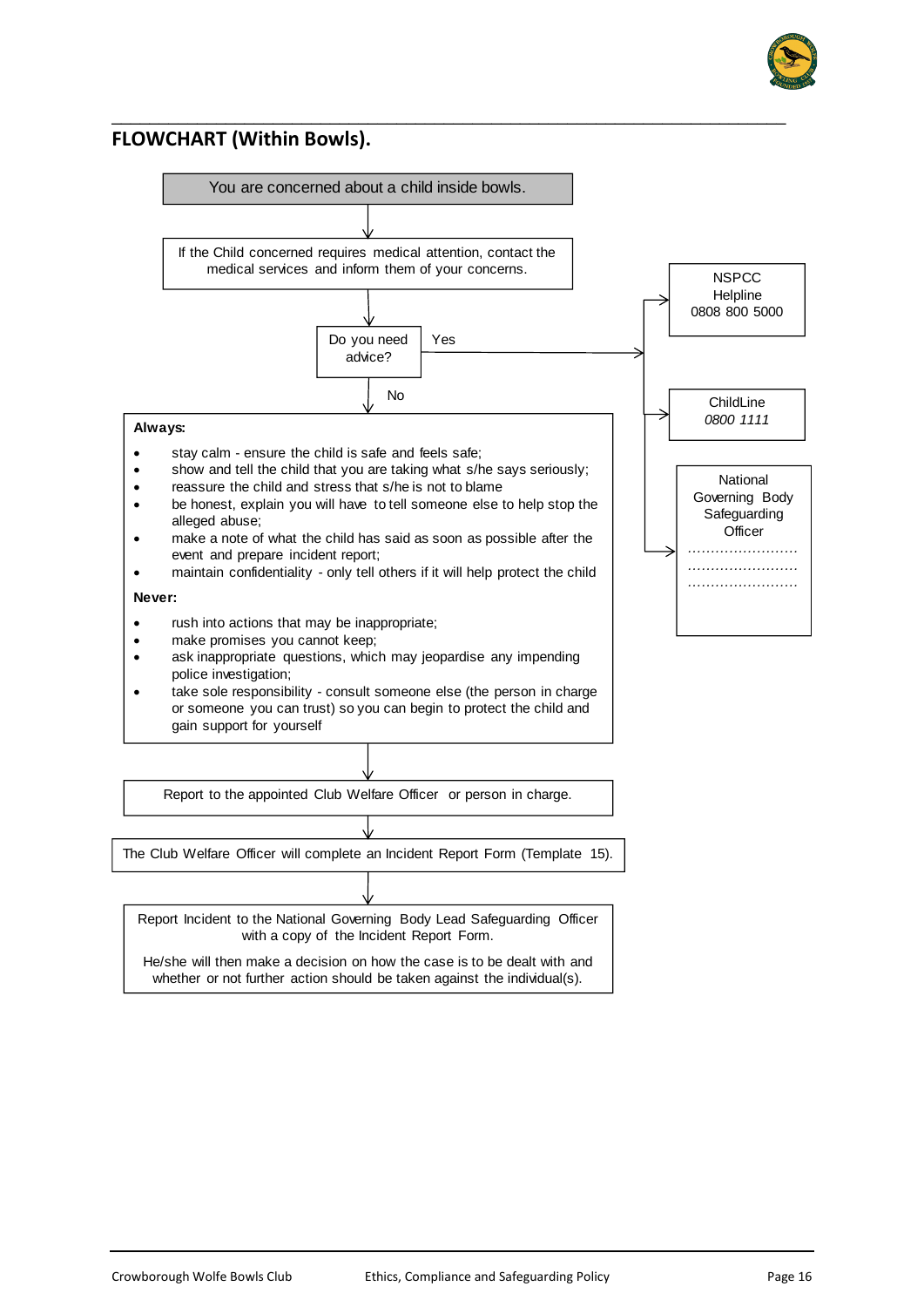

#### **FLOWCHART (Within Bowls).**



\_\_\_\_\_\_\_\_\_\_\_\_\_\_\_\_\_\_\_\_\_\_\_\_\_\_\_\_\_\_\_\_\_\_\_\_\_\_\_\_\_\_\_\_\_\_\_\_\_\_\_\_\_\_\_\_\_\_\_\_\_\_\_\_\_\_\_\_\_\_\_

He/she will then make a decision on how the case is to be dealt with and whether or not further action should be taken against the individual(s).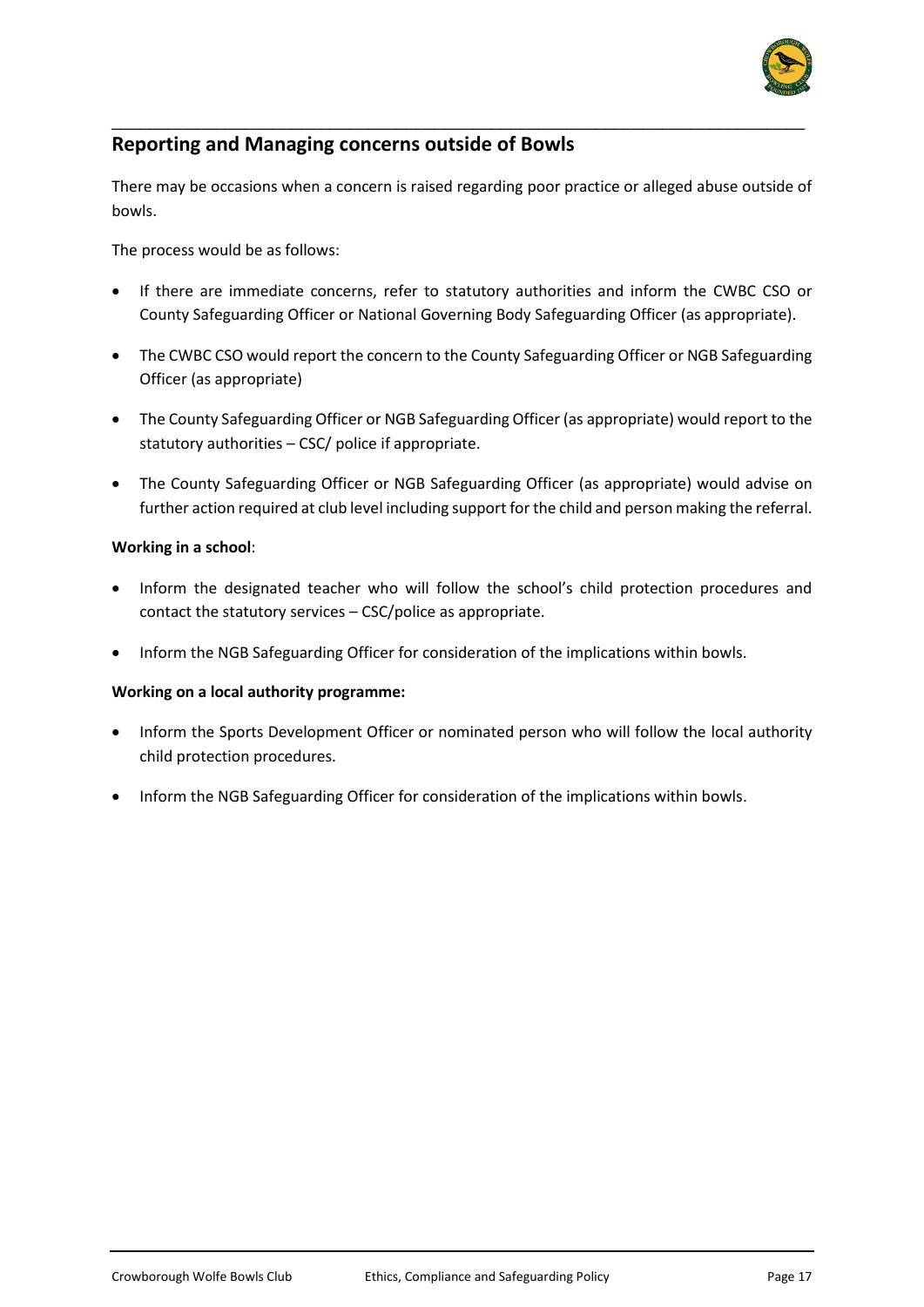

## **Reporting and Managing concerns outside of Bowls**

There may be occasions when a concern is raised regarding poor practice or alleged abuse outside of bowls.

\_\_\_\_\_\_\_\_\_\_\_\_\_\_\_\_\_\_\_\_\_\_\_\_\_\_\_\_\_\_\_\_\_\_\_\_\_\_\_\_\_\_\_\_\_\_\_\_\_\_\_\_\_\_\_\_\_\_\_\_\_\_\_\_\_\_\_\_\_\_\_\_\_

The process would be as follows:

- If there are immediate concerns, refer to statutory authorities and inform the CWBC CSO or County Safeguarding Officer or National Governing Body Safeguarding Officer (as appropriate).
- The CWBC CSO would report the concern to the County Safeguarding Officer or NGB Safeguarding Officer (as appropriate)
- The County Safeguarding Officer or NGB Safeguarding Officer (as appropriate) would report to the statutory authorities – CSC/ police if appropriate.
- The County Safeguarding Officer or NGB Safeguarding Officer (as appropriate) would advise on further action required at club level including support for the child and person making the referral.

#### **Working in a school**:

- Inform the designated teacher who will follow the school's child protection procedures and contact the statutory services – CSC/police as appropriate.
- Inform the NGB Safeguarding Officer for consideration of the implications within bowls.

#### **Working on a local authority programme:**

- Inform the Sports Development Officer or nominated person who will follow the local authority child protection procedures.
- Inform the NGB Safeguarding Officer for consideration of the implications within bowls.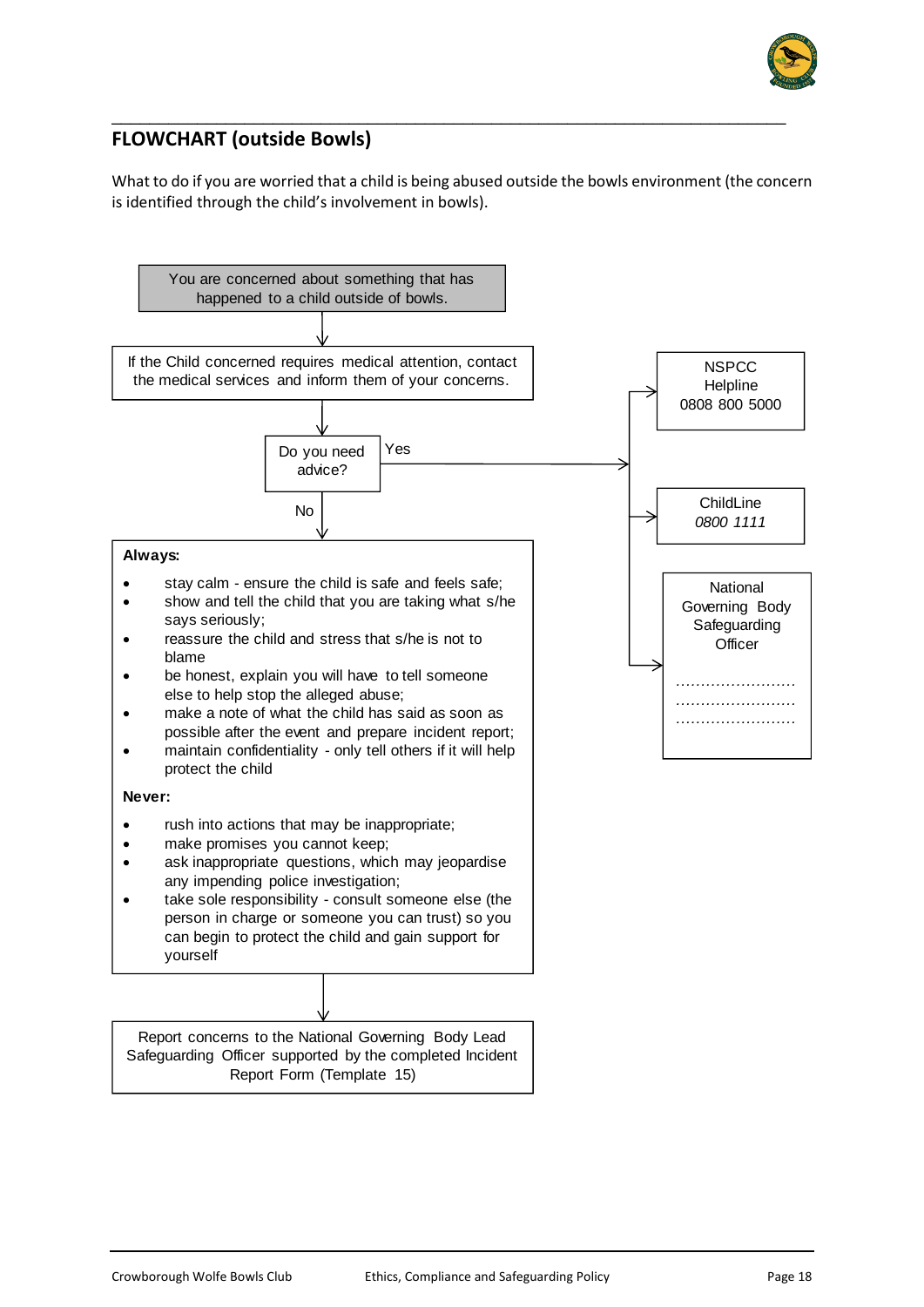

# **FLOWCHART (outside Bowls)**

What to do if you are worried that a child is being abused outside the bowls environment (the concern is identified through the child's involvement in bowls).

\_\_\_\_\_\_\_\_\_\_\_\_\_\_\_\_\_\_\_\_\_\_\_\_\_\_\_\_\_\_\_\_\_\_\_\_\_\_\_\_\_\_\_\_\_\_\_\_\_\_\_\_\_\_\_\_\_\_\_\_\_\_\_\_\_\_\_\_\_\_\_

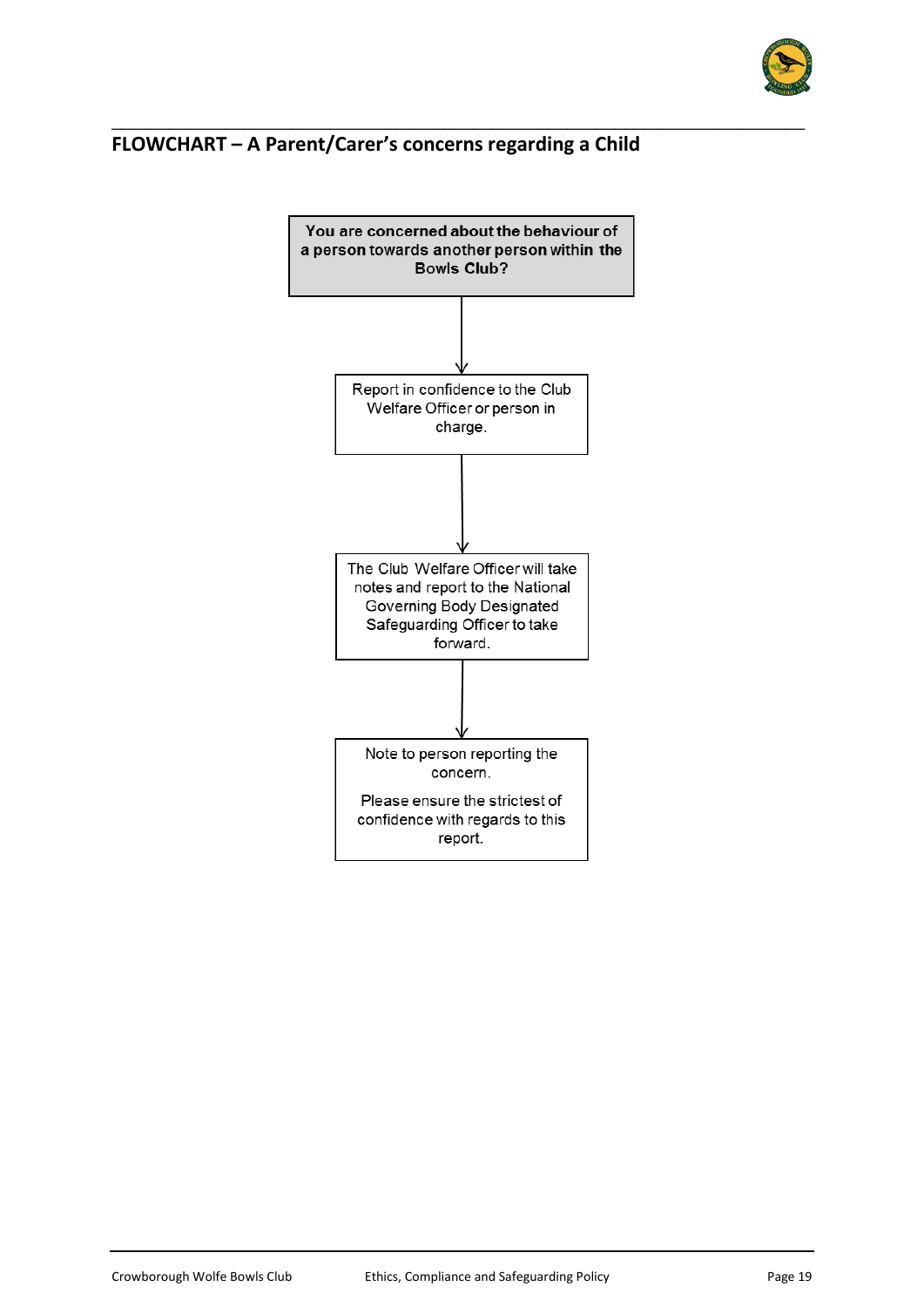

# **FLOWCHART – A Parent/Carer's concerns regarding a Child**



\_\_\_\_\_\_\_\_\_\_\_\_\_\_\_\_\_\_\_\_\_\_\_\_\_\_\_\_\_\_\_\_\_\_\_\_\_\_\_\_\_\_\_\_\_\_\_\_\_\_\_\_\_\_\_\_\_\_\_\_\_\_\_\_\_\_\_\_\_\_\_\_\_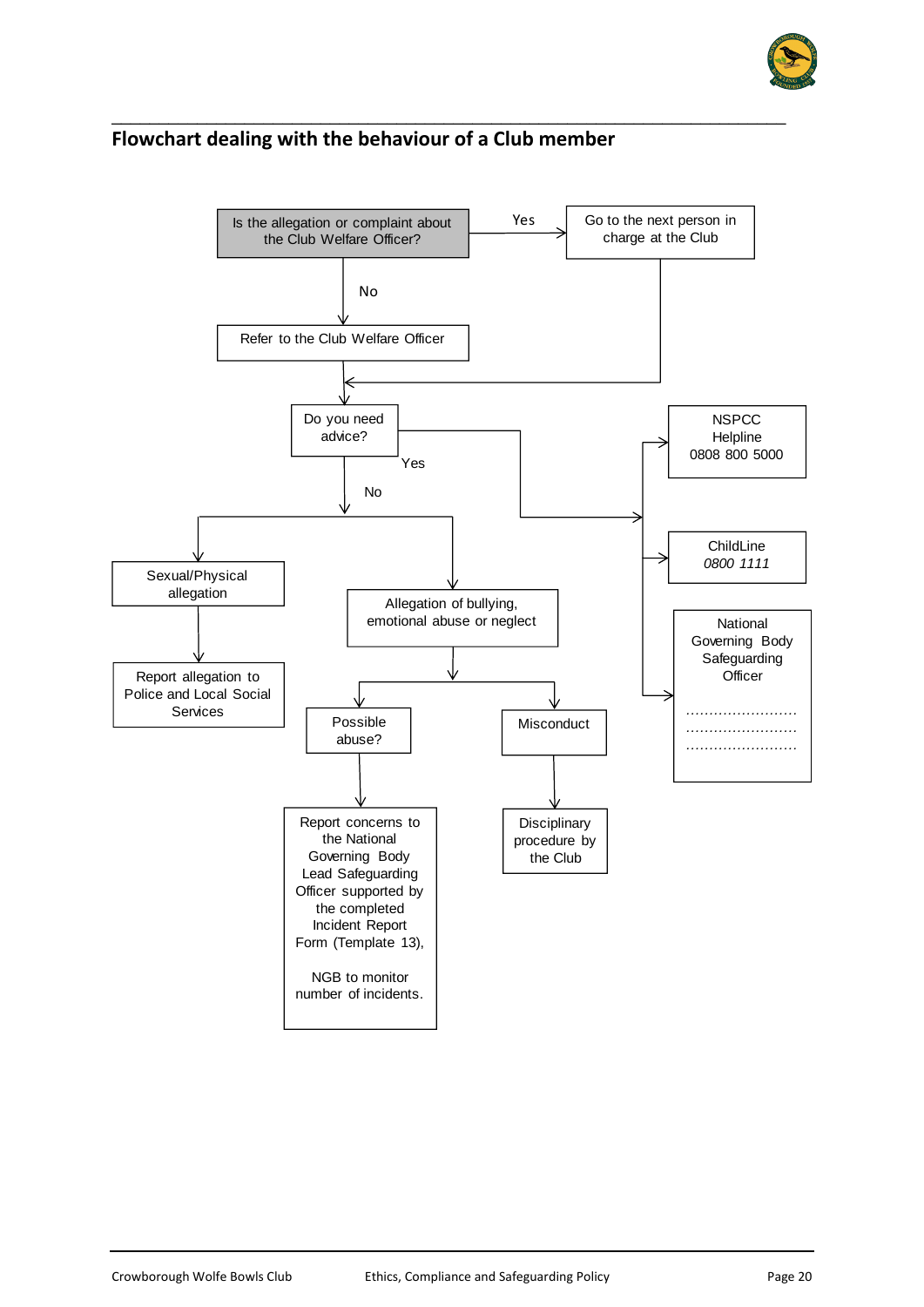

#### **Flowchart dealing with the behaviour of a Club member**

\_\_\_\_\_\_\_\_\_\_\_\_\_\_\_\_\_\_\_\_\_\_\_\_\_\_\_\_\_\_\_\_\_\_\_\_\_\_\_\_\_\_\_\_\_\_\_\_\_\_\_\_\_\_\_\_\_\_\_\_\_\_\_\_\_\_\_\_\_\_\_

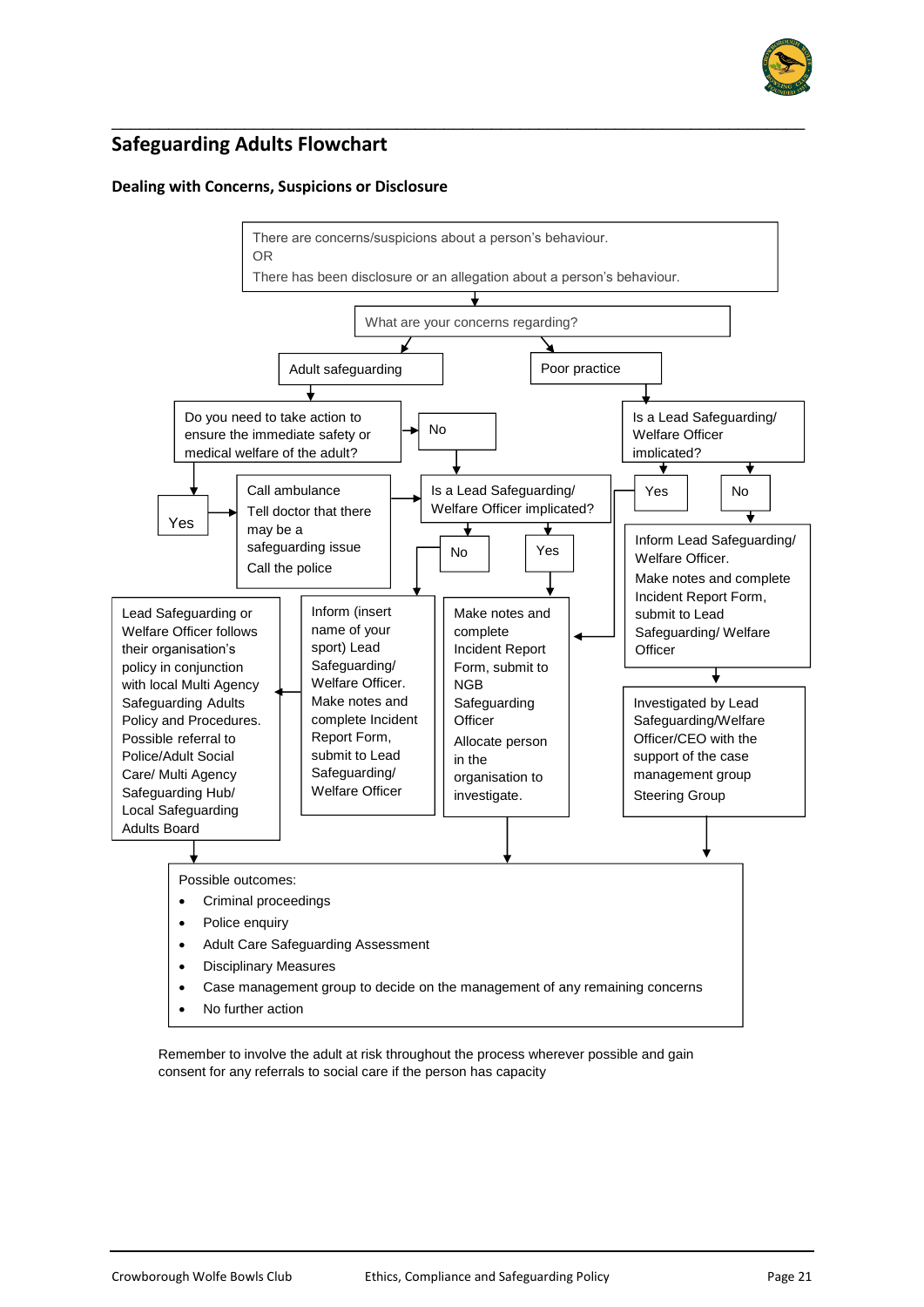

# **Safeguarding Adults Flowchart**

#### **Dealing with Concerns, Suspicions or Disclosure**



\_\_\_\_\_\_\_\_\_\_\_\_\_\_\_\_\_\_\_\_\_\_\_\_\_\_\_\_\_\_\_\_\_\_\_\_\_\_\_\_\_\_\_\_\_\_\_\_\_\_\_\_\_\_\_\_\_\_\_\_\_\_\_\_\_\_\_\_\_\_\_\_\_

Remember to involve the adult at risk throughout the process wherever possible and gain consent for any referrals to social care if the person has capacity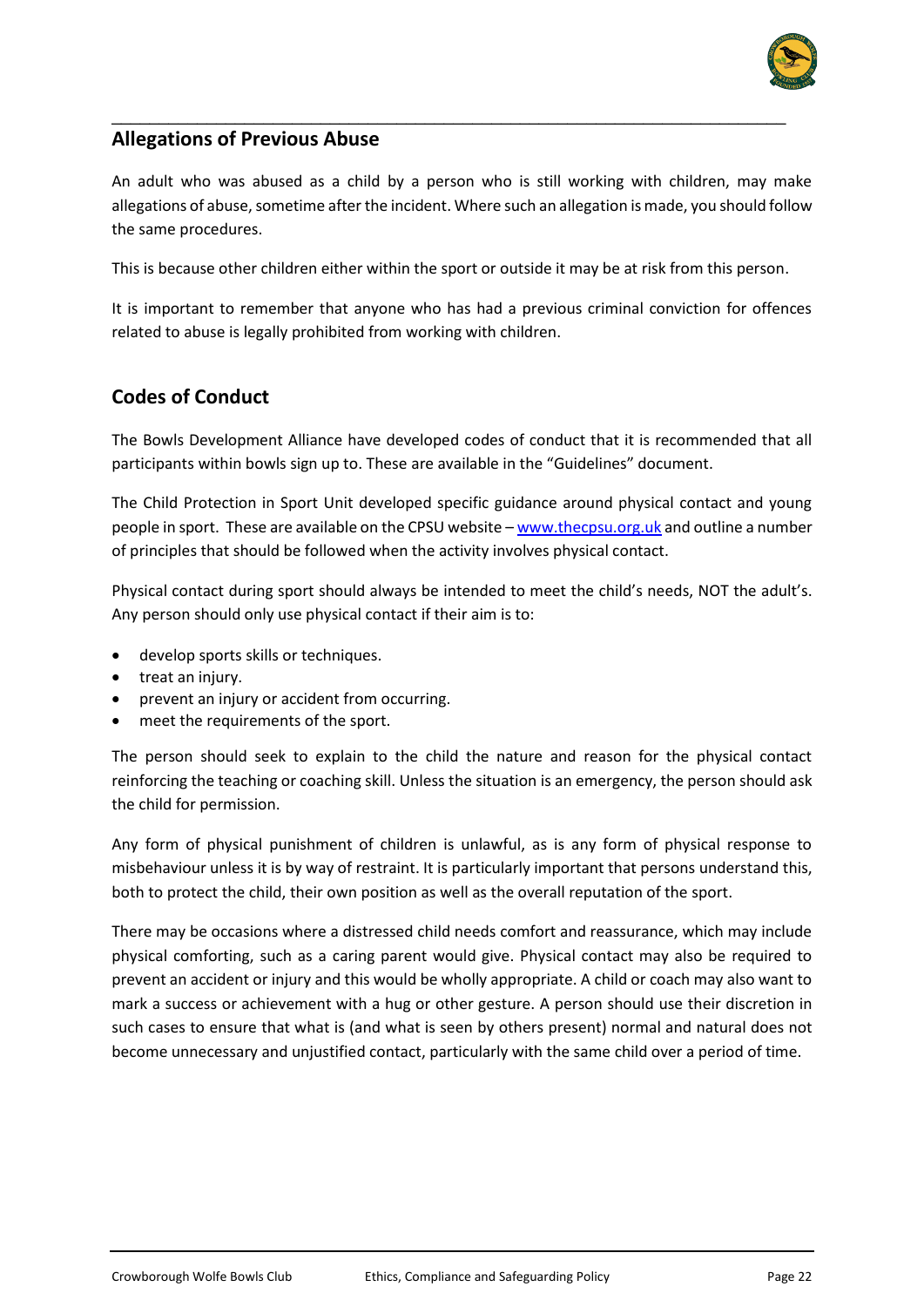

## **Allegations of Previous Abuse**

An adult who was abused as a child by a person who is still working with children, may make allegations of abuse, sometime after the incident. Where such an allegation is made, you should follow the same procedures.

\_\_\_\_\_\_\_\_\_\_\_\_\_\_\_\_\_\_\_\_\_\_\_\_\_\_\_\_\_\_\_\_\_\_\_\_\_\_\_\_\_\_\_\_\_\_\_\_\_\_\_\_\_\_\_\_\_\_\_\_\_\_\_\_\_\_\_\_\_\_\_

This is because other children either within the sport or outside it may be at risk from this person.

It is important to remember that anyone who has had a previous criminal conviction for offences related to abuse is legally prohibited from working with children.

## **Codes of Conduct**

The Bowls Development Alliance have developed codes of conduct that it is recommended that all participants within bowls sign up to. These are available in the "Guidelines" document.

The Child Protection in Sport Unit developed specific guidance around physical contact and young people in sport. These are available on the CPSU website – [www.thecpsu.org.uk](http://www.thecpsu.org.uk/) and outline a number of principles that should be followed when the activity involves physical contact.

Physical contact during sport should always be intended to meet the child's needs, NOT the adult's. Any person should only use physical contact if their aim is to:

- develop sports skills or techniques.
- treat an injury.
- prevent an injury or accident from occurring.
- meet the requirements of the sport.

The person should seek to explain to the child the nature and reason for the physical contact reinforcing the teaching or coaching skill. Unless the situation is an emergency, the person should ask the child for permission.

Any form of physical punishment of children is unlawful, as is any form of physical response to misbehaviour unless it is by way of restraint. It is particularly important that persons understand this, both to protect the child, their own position as well as the overall reputation of the sport.

There may be occasions where a distressed child needs comfort and reassurance, which may include physical comforting, such as a caring parent would give. Physical contact may also be required to prevent an accident or injury and this would be wholly appropriate. A child or coach may also want to mark a success or achievement with a hug or other gesture. A person should use their discretion in such cases to ensure that what is (and what is seen by others present) normal and natural does not become unnecessary and unjustified contact, particularly with the same child over a period of time.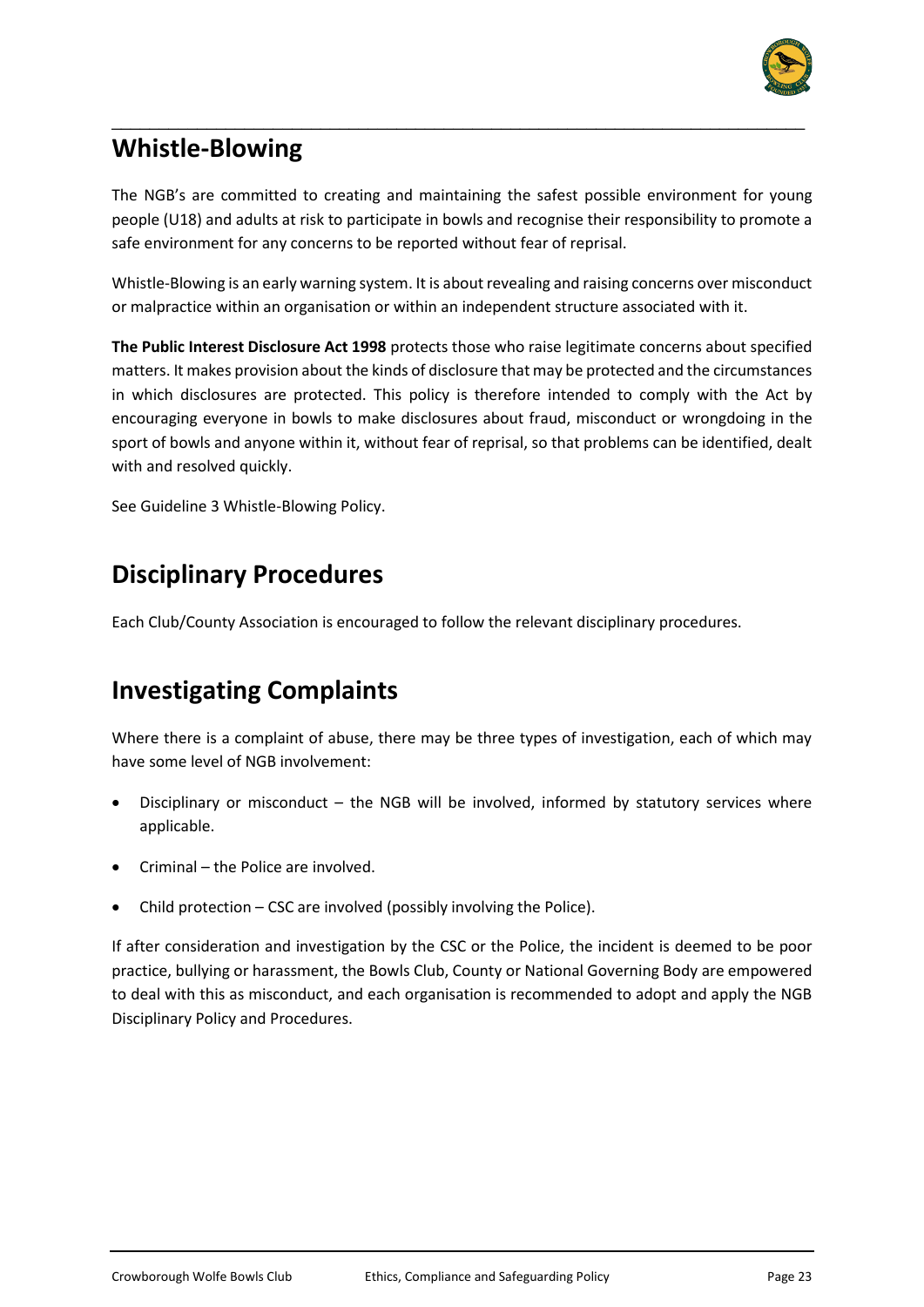

# **Whistle-Blowing**

The NGB's are committed to creating and maintaining the safest possible environment for young people (U18) and adults at risk to participate in bowls and recognise their responsibility to promote a safe environment for any concerns to be reported without fear of reprisal.

\_\_\_\_\_\_\_\_\_\_\_\_\_\_\_\_\_\_\_\_\_\_\_\_\_\_\_\_\_\_\_\_\_\_\_\_\_\_\_\_\_\_\_\_\_\_\_\_\_\_\_\_\_\_\_\_\_\_\_\_\_\_\_\_\_\_\_\_\_\_\_\_\_

Whistle-Blowing is an early warning system. It is about revealing and raising concerns over misconduct or malpractice within an organisation or within an independent structure associated with it.

**The Public Interest Disclosure Act 1998** protects those who raise legitimate concerns about specified matters. It makes provision about the kinds of disclosure that may be protected and the circumstances in which disclosures are protected. This policy is therefore intended to comply with the Act by encouraging everyone in bowls to make disclosures about fraud, misconduct or wrongdoing in the sport of bowls and anyone within it, without fear of reprisal, so that problems can be identified, dealt with and resolved quickly.

See Guideline 3 Whistle-Blowing Policy.

# **Disciplinary Procedures**

Each Club/County Association is encouraged to follow the relevant disciplinary procedures.

# **Investigating Complaints**

Where there is a complaint of abuse, there may be three types of investigation, each of which may have some level of NGB involvement:

- Disciplinary or misconduct the NGB will be involved, informed by statutory services where applicable.
- Criminal the Police are involved.
- Child protection CSC are involved (possibly involving the Police).

If after consideration and investigation by the CSC or the Police, the incident is deemed to be poor practice, bullying or harassment, the Bowls Club, County or National Governing Body are empowered to deal with this as misconduct, and each organisation is recommended to adopt and apply the NGB Disciplinary Policy and Procedures.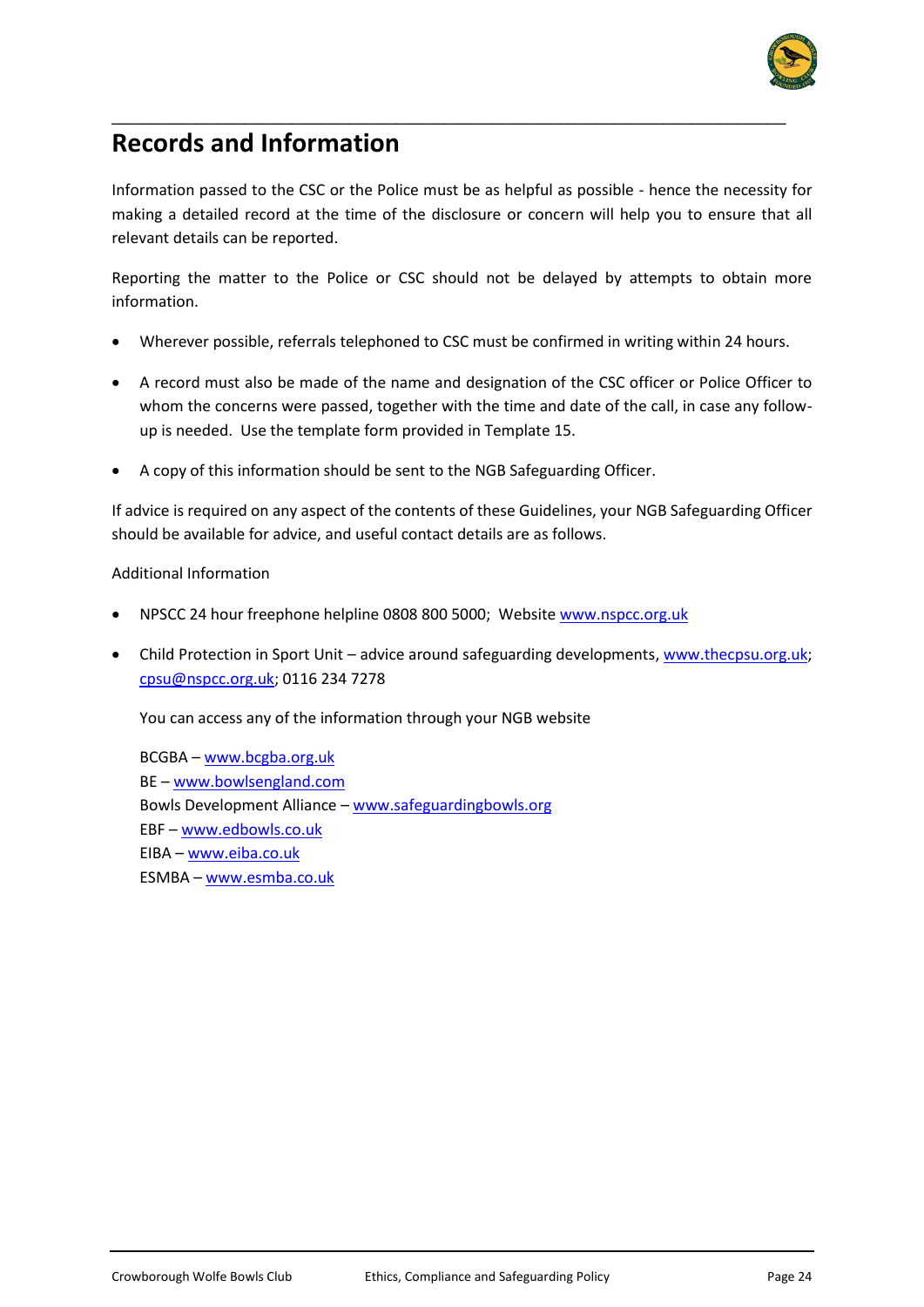

# **Records and Information**

Information passed to the CSC or the Police must be as helpful as possible - hence the necessity for making a detailed record at the time of the disclosure or concern will help you to ensure that all relevant details can be reported.

\_\_\_\_\_\_\_\_\_\_\_\_\_\_\_\_\_\_\_\_\_\_\_\_\_\_\_\_\_\_\_\_\_\_\_\_\_\_\_\_\_\_\_\_\_\_\_\_\_\_\_\_\_\_\_\_\_\_\_\_\_\_\_\_\_\_\_\_\_\_\_

Reporting the matter to the Police or CSC should not be delayed by attempts to obtain more information.

- Wherever possible, referrals telephoned to CSC must be confirmed in writing within 24 hours.
- A record must also be made of the name and designation of the CSC officer or Police Officer to whom the concerns were passed, together with the time and date of the call, in case any followup is needed. Use the template form provided in Template 15.
- A copy of this information should be sent to the NGB Safeguarding Officer.

If advice is required on any aspect of the contents of these Guidelines, your NGB Safeguarding Officer should be available for advice, and useful contact details are as follows.

#### Additional Information

- NPSCC 24 hour freephone helpline 0808 800 5000; Websit[e www.nspcc.org.uk](http://www.nspcc.org.uk/)
- Child Protection in Sport Unit advice around safeguarding developments[, www.thecpsu.org.uk;](http://www.thecpsu.org.uk/) [cpsu@nspcc.org.uk;](mailto:cpsu@nspcc.org.uk) 0116 234 7278

You can access any of the information through your NGB website

BCGBA – [www.bcgba.org.uk](http://www.bcgba.org.uk/) BE – [www.bowlsengland.com](http://www.bowlsengland.com/) Bowls Development Alliance – [www.safeguardingbowls.org](http://www.safeguardingbowls.org/) EBF – [www.edbowls.co.uk](http://www.edbowls.co.uk/) EIBA – [www.eiba.co.uk](http://www.eiba.co.uk/) ESMBA – [www.esmba.co.uk](http://www.esmba.co.uk/)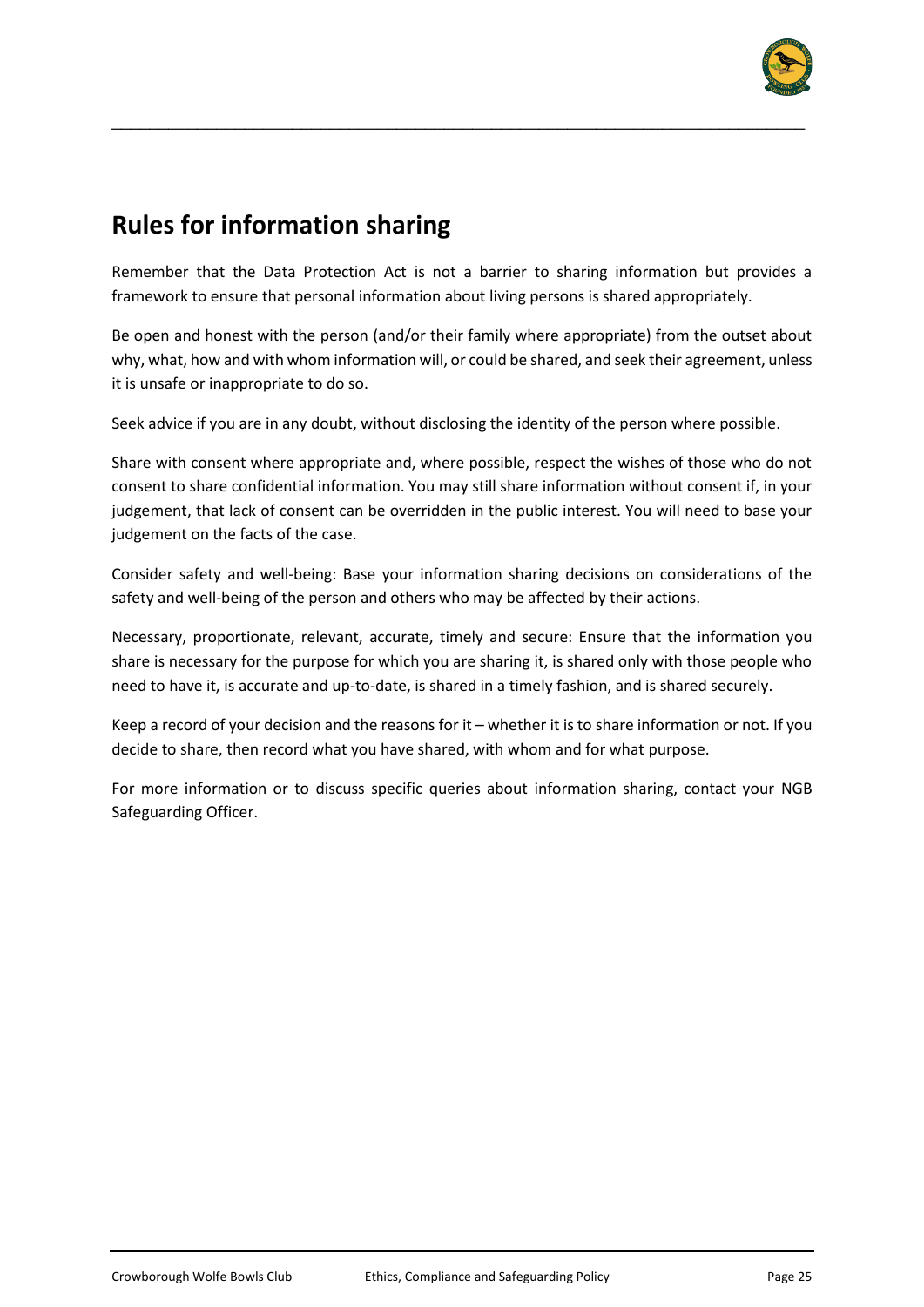

# **Rules for information sharing**

Remember that the Data Protection Act is not a barrier to sharing information but provides a framework to ensure that personal information about living persons is shared appropriately.

\_\_\_\_\_\_\_\_\_\_\_\_\_\_\_\_\_\_\_\_\_\_\_\_\_\_\_\_\_\_\_\_\_\_\_\_\_\_\_\_\_\_\_\_\_\_\_\_\_\_\_\_\_\_\_\_\_\_\_\_\_\_\_\_\_\_\_\_\_\_\_\_\_

Be open and honest with the person (and/or their family where appropriate) from the outset about why, what, how and with whom information will, or could be shared, and seek their agreement, unless it is unsafe or inappropriate to do so.

Seek advice if you are in any doubt, without disclosing the identity of the person where possible.

Share with consent where appropriate and, where possible, respect the wishes of those who do not consent to share confidential information. You may still share information without consent if, in your judgement, that lack of consent can be overridden in the public interest. You will need to base your judgement on the facts of the case.

Consider safety and well-being: Base your information sharing decisions on considerations of the safety and well-being of the person and others who may be affected by their actions.

Necessary, proportionate, relevant, accurate, timely and secure: Ensure that the information you share is necessary for the purpose for which you are sharing it, is shared only with those people who need to have it, is accurate and up-to-date, is shared in a timely fashion, and is shared securely.

Keep a record of your decision and the reasons for it – whether it is to share information or not. If you decide to share, then record what you have shared, with whom and for what purpose.

For more information or to discuss specific queries about information sharing, contact your NGB Safeguarding Officer.